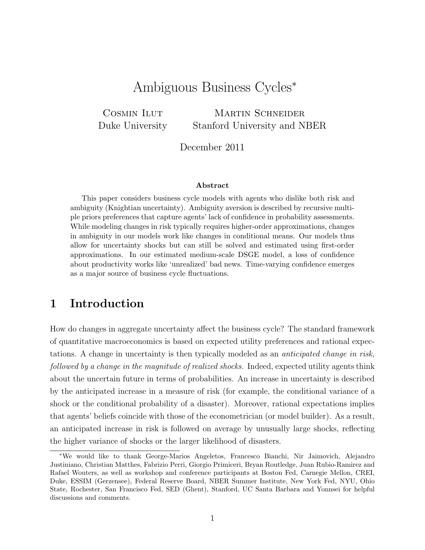# Ambiguous Business Cycles<sup>∗</sup>

COSMIN ILUT Duke University MARTIN SCHNEIDER Stanford University and NBER

December 2011

#### Abstract

This paper considers business cycle models with agents who dislike both risk and ambiguity (Knightian uncertainty). Ambiguity aversion is described by recursive multiple priors preferences that capture agents' lack of confidence in probability assessments. While modeling changes in risk typically requires higher-order approximations, changes in ambiguity in our models work like changes in conditional means. Our models thus allow for uncertainty shocks but can still be solved and estimated using first-order approximations. In our estimated medium-scale DSGE model, a loss of confidence about productivity works like 'unrealized' bad news. Time-varying confidence emerges as a major source of business cycle fluctuations.

## 1 Introduction

How do changes in aggregate uncertainty affect the business cycle? The standard framework of quantitative macroeconomics is based on expected utility preferences and rational expectations. A change in uncertainty is then typically modeled as an anticipated change in risk, followed by a change in the magnitude of realized shocks. Indeed, expected utility agents think about the uncertain future in terms of probabilities. An increase in uncertainty is described by the anticipated increase in a measure of risk (for example, the conditional variance of a shock or the conditional probability of a disaster). Moreover, rational expectations implies that agents' beliefs coincide with those of the econometrician (or model builder). As a result, an anticipated increase in risk is followed on average by unusually large shocks, reflecting the higher variance of shocks or the larger likelihood of disasters.

<sup>∗</sup>We would like to thank George-Marios Angeletos, Francesco Bianchi, Nir Jaimovich, Alejandro Justiniano, Christian Matthes, Fabrizio Perri, Giorgio Primiceri, Bryan Routledge, Juan Rubio-Ramirez and Rafael Wouters, as well as workshop and conference participants at Boston Fed, Carnegie Mellon, CREI, Duke, ESSIM (Gerzensee), Federal Reserve Board, NBER Summer Institute, New York Fed, NYU, Ohio State, Rochester, San Francisco Fed, SED (Ghent), Stanford, UC Santa Barbara and Yonnsei for helpful discussions and comments.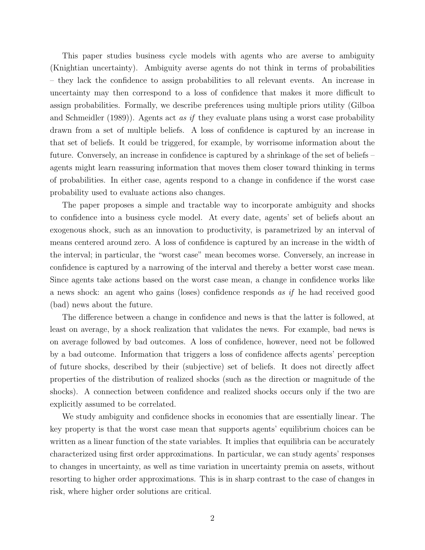This paper studies business cycle models with agents who are averse to ambiguity (Knightian uncertainty). Ambiguity averse agents do not think in terms of probabilities – they lack the confidence to assign probabilities to all relevant events. An increase in uncertainty may then correspond to a loss of confidence that makes it more difficult to assign probabilities. Formally, we describe preferences using multiple priors utility (Gilboa and Schmeidler (1989)). Agents act as if they evaluate plans using a worst case probability drawn from a set of multiple beliefs. A loss of confidence is captured by an increase in that set of beliefs. It could be triggered, for example, by worrisome information about the future. Conversely, an increase in confidence is captured by a shrinkage of the set of beliefs – agents might learn reassuring information that moves them closer toward thinking in terms of probabilities. In either case, agents respond to a change in confidence if the worst case probability used to evaluate actions also changes.

The paper proposes a simple and tractable way to incorporate ambiguity and shocks to confidence into a business cycle model. At every date, agents' set of beliefs about an exogenous shock, such as an innovation to productivity, is parametrized by an interval of means centered around zero. A loss of confidence is captured by an increase in the width of the interval; in particular, the "worst case" mean becomes worse. Conversely, an increase in confidence is captured by a narrowing of the interval and thereby a better worst case mean. Since agents take actions based on the worst case mean, a change in confidence works like a news shock: an agent who gains (loses) confidence responds as if he had received good (bad) news about the future.

The difference between a change in confidence and news is that the latter is followed, at least on average, by a shock realization that validates the news. For example, bad news is on average followed by bad outcomes. A loss of confidence, however, need not be followed by a bad outcome. Information that triggers a loss of confidence affects agents' perception of future shocks, described by their (subjective) set of beliefs. It does not directly affect properties of the distribution of realized shocks (such as the direction or magnitude of the shocks). A connection between confidence and realized shocks occurs only if the two are explicitly assumed to be correlated.

We study ambiguity and confidence shocks in economies that are essentially linear. The key property is that the worst case mean that supports agents' equilibrium choices can be written as a linear function of the state variables. It implies that equilibria can be accurately characterized using first order approximations. In particular, we can study agents' responses to changes in uncertainty, as well as time variation in uncertainty premia on assets, without resorting to higher order approximations. This is in sharp contrast to the case of changes in risk, where higher order solutions are critical.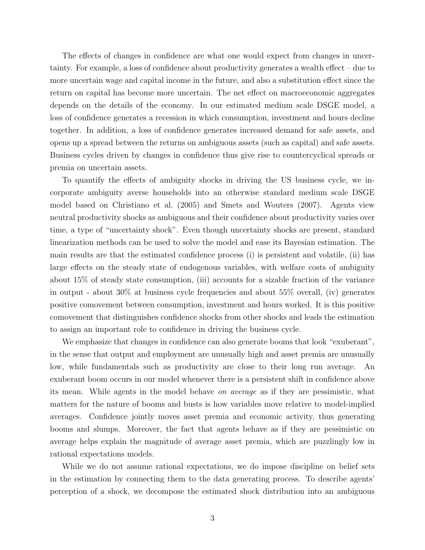The effects of changes in confidence are what one would expect from changes in uncertainty. For example, a loss of confidence about productivity generates a wealth effect – due to more uncertain wage and capital income in the future, and also a substitution effect since the return on capital has become more uncertain. The net effect on macroeconomic aggregates depends on the details of the economy. In our estimated medium scale DSGE model, a loss of confidence generates a recession in which consumption, investment and hours decline together. In addition, a loss of confidence generates increased demand for safe assets, and opens up a spread between the returns on ambiguous assets (such as capital) and safe assets. Business cycles driven by changes in confidence thus give rise to countercyclical spreads or premia on uncertain assets.

To quantify the effects of ambiguity shocks in driving the US business cycle, we incorporate ambiguity averse households into an otherwise standard medium scale DSGE model based on Christiano et al. (2005) and Smets and Wouters (2007). Agents view neutral productivity shocks as ambiguous and their confidence about productivity varies over time, a type of "uncertainty shock". Even though uncertainty shocks are present, standard linearization methods can be used to solve the model and ease its Bayesian estimation. The main results are that the estimated confidence process (i) is persistent and volatile, (ii) has large effects on the steady state of endogenous variables, with welfare costs of ambiguity about 15% of steady state consumption, (iii) accounts for a sizable fraction of the variance in output - about 30% at business cycle frequencies and about 55% overall, (iv) generates positive comovement between consumption, investment and hours worked. It is this positive comovement that distinguishes confidence shocks from other shocks and leads the estimation to assign an important role to confidence in driving the business cycle.

We emphasize that changes in confidence can also generate booms that look "exuberant", in the sense that output and employment are unusually high and asset premia are unusually low, while fundamentals such as productivity are close to their long run average. An exuberant boom occurs in our model whenever there is a persistent shift in confidence above its mean. While agents in the model behave on average as if they are pessimistic, what matters for the nature of booms and busts is how variables move relative to model-implied averages. Confidence jointly moves asset premia and economic activity, thus generating booms and slumps. Moreover, the fact that agents behave as if they are pessimistic on average helps explain the magnitude of average asset premia, which are puzzlingly low in rational expectations models.

While we do not assume rational expectations, we do impose discipline on belief sets in the estimation by connecting them to the data generating process. To describe agents' perception of a shock, we decompose the estimated shock distribution into an ambiguous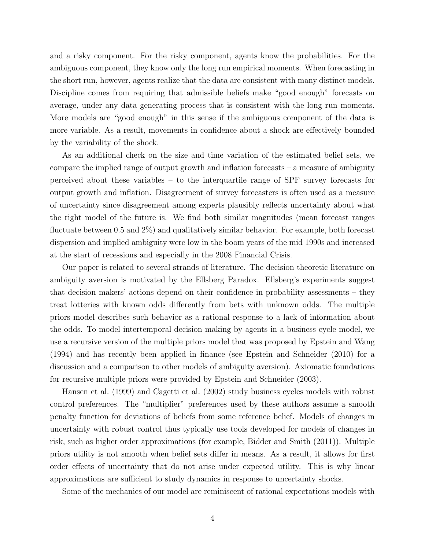and a risky component. For the risky component, agents know the probabilities. For the ambiguous component, they know only the long run empirical moments. When forecasting in the short run, however, agents realize that the data are consistent with many distinct models. Discipline comes from requiring that admissible beliefs make "good enough" forecasts on average, under any data generating process that is consistent with the long run moments. More models are "good enough" in this sense if the ambiguous component of the data is more variable. As a result, movements in confidence about a shock are effectively bounded by the variability of the shock.

As an additional check on the size and time variation of the estimated belief sets, we compare the implied range of output growth and inflation forecasts – a measure of ambiguity perceived about these variables – to the interquartile range of SPF survey forecasts for output growth and inflation. Disagreement of survey forecasters is often used as a measure of uncertainty since disagreement among experts plausibly reflects uncertainty about what the right model of the future is. We find both similar magnitudes (mean forecast ranges fluctuate between 0.5 and 2%) and qualitatively similar behavior. For example, both forecast dispersion and implied ambiguity were low in the boom years of the mid 1990s and increased at the start of recessions and especially in the 2008 Financial Crisis.

Our paper is related to several strands of literature. The decision theoretic literature on ambiguity aversion is motivated by the Ellsberg Paradox. Ellsberg's experiments suggest that decision makers' actions depend on their confidence in probability assessments – they treat lotteries with known odds differently from bets with unknown odds. The multiple priors model describes such behavior as a rational response to a lack of information about the odds. To model intertemporal decision making by agents in a business cycle model, we use a recursive version of the multiple priors model that was proposed by Epstein and Wang (1994) and has recently been applied in finance (see Epstein and Schneider (2010) for a discussion and a comparison to other models of ambiguity aversion). Axiomatic foundations for recursive multiple priors were provided by Epstein and Schneider (2003).

Hansen et al. (1999) and Cagetti et al. (2002) study business cycles models with robust control preferences. The "multiplier" preferences used by these authors assume a smooth penalty function for deviations of beliefs from some reference belief. Models of changes in uncertainty with robust control thus typically use tools developed for models of changes in risk, such as higher order approximations (for example, Bidder and Smith (2011)). Multiple priors utility is not smooth when belief sets differ in means. As a result, it allows for first order effects of uncertainty that do not arise under expected utility. This is why linear approximations are sufficient to study dynamics in response to uncertainty shocks.

Some of the mechanics of our model are reminiscent of rational expectations models with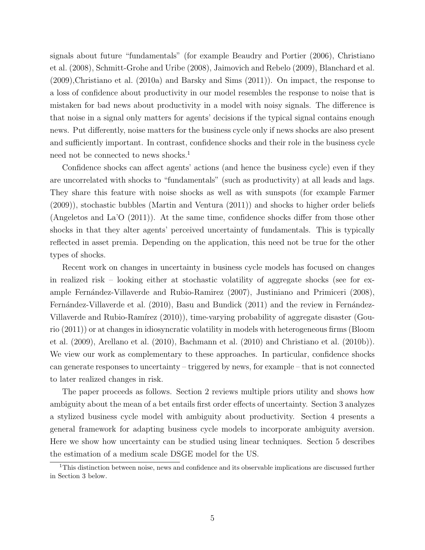signals about future "fundamentals" (for example Beaudry and Portier (2006), Christiano et al. (2008), Schmitt-Grohe and Uribe (2008), Jaimovich and Rebelo (2009), Blanchard et al. (2009),Christiano et al. (2010a) and Barsky and Sims (2011)). On impact, the response to a loss of confidence about productivity in our model resembles the response to noise that is mistaken for bad news about productivity in a model with noisy signals. The difference is that noise in a signal only matters for agents' decisions if the typical signal contains enough news. Put differently, noise matters for the business cycle only if news shocks are also present and sufficiently important. In contrast, confidence shocks and their role in the business cycle need not be connected to news shocks.<sup>1</sup>

Confidence shocks can affect agents' actions (and hence the business cycle) even if they are uncorrelated with shocks to "fundamentals" (such as productivity) at all leads and lags. They share this feature with noise shocks as well as with sunspots (for example Farmer (2009)), stochastic bubbles (Martin and Ventura (2011)) and shocks to higher order beliefs (Angeletos and La'O (2011)). At the same time, confidence shocks differ from those other shocks in that they alter agents' perceived uncertainty of fundamentals. This is typically reflected in asset premia. Depending on the application, this need not be true for the other types of shocks.

Recent work on changes in uncertainty in business cycle models has focused on changes in realized risk – looking either at stochastic volatility of aggregate shocks (see for example Fernández-Villaverde and Rubio-Ramirez (2007), Justiniano and Primiceri (2008), Fernández-Villaverde et al. (2010), Basu and Bundick (2011) and the review in Fernández-Villaverde and Rubio-Ramírez (2010)), time-varying probability of aggregate disaster (Gourio (2011)) or at changes in idiosyncratic volatility in models with heterogeneous firms (Bloom et al. (2009), Arellano et al. (2010), Bachmann et al. (2010) and Christiano et al. (2010b)). We view our work as complementary to these approaches. In particular, confidence shocks can generate responses to uncertainty – triggered by news, for example – that is not connected to later realized changes in risk.

The paper proceeds as follows. Section 2 reviews multiple priors utility and shows how ambiguity about the mean of a bet entails first order effects of uncertainty. Section 3 analyzes a stylized business cycle model with ambiguity about productivity. Section 4 presents a general framework for adapting business cycle models to incorporate ambiguity aversion. Here we show how uncertainty can be studied using linear techniques. Section 5 describes the estimation of a medium scale DSGE model for the US.

<sup>&</sup>lt;sup>1</sup>This distinction between noise, news and confidence and its observable implications are discussed further in Section 3 below.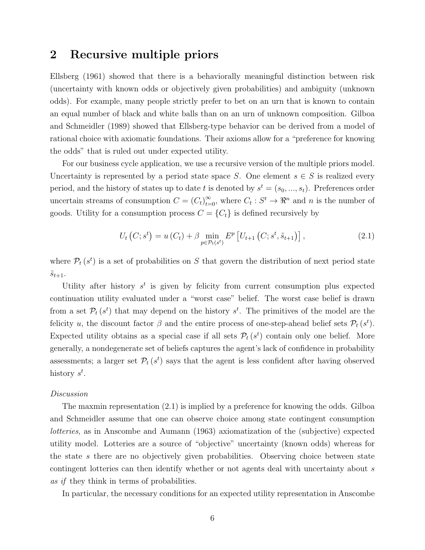## 2 Recursive multiple priors

Ellsberg (1961) showed that there is a behaviorally meaningful distinction between risk (uncertainty with known odds or objectively given probabilities) and ambiguity (unknown odds). For example, many people strictly prefer to bet on an urn that is known to contain an equal number of black and white balls than on an urn of unknown composition. Gilboa and Schmeidler (1989) showed that Ellsberg-type behavior can be derived from a model of rational choice with axiomatic foundations. Their axioms allow for a "preference for knowing the odds" that is ruled out under expected utility.

For our business cycle application, we use a recursive version of the multiple priors model. Uncertainty is represented by a period state space S. One element  $s \in S$  is realized every period, and the history of states up to date t is denoted by  $s^t = (s_0, ..., s_t)$ . Preferences order uncertain streams of consumption  $C = (C_t)_{t=0}^{\infty}$ , where  $C_t : S^t \to \mathbb{R}^n$  and n is the number of goods. Utility for a consumption process  $C = \{C_t\}$  is defined recursively by

$$
U_{t}(C; s^{t}) = u(C_{t}) + \beta \min_{p \in \mathcal{P}_{t}(s^{t})} E^{p} \left[ U_{t+1} \left( C; s^{t}, \tilde{s}_{t+1} \right) \right], \qquad (2.1)
$$

where  $\mathcal{P}_t(s^t)$  is a set of probabilities on S that govern the distribution of next period state  $s_{t+1}.$ 

Utility after history  $s^t$  is given by felicity from current consumption plus expected continuation utility evaluated under a "worst case" belief. The worst case belief is drawn from a set  $\mathcal{P}_t(s^t)$  that may depend on the history  $s^t$ . The primitives of the model are the felicity u, the discount factor  $\beta$  and the entire process of one-step-ahead belief sets  $\mathcal{P}_t(s^t)$ . Expected utility obtains as a special case if all sets  $\mathcal{P}_t(s^t)$  contain only one belief. More generally, a nondegenerate set of beliefs captures the agent's lack of confidence in probability assessments; a larger set  $\mathcal{P}_t(s^t)$  says that the agent is less confident after having observed history  $s^t$ .

#### Discussion

The maxmin representation (2.1) is implied by a preference for knowing the odds. Gilboa and Schmeidler assume that one can observe choice among state contingent consumption lotteries, as in Anscombe and Aumann (1963) axiomatization of the (subjective) expected utility model. Lotteries are a source of "objective" uncertainty (known odds) whereas for the state s there are no objectively given probabilities. Observing choice between state contingent lotteries can then identify whether or not agents deal with uncertainty about s as if they think in terms of probabilities.

In particular, the necessary conditions for an expected utility representation in Anscombe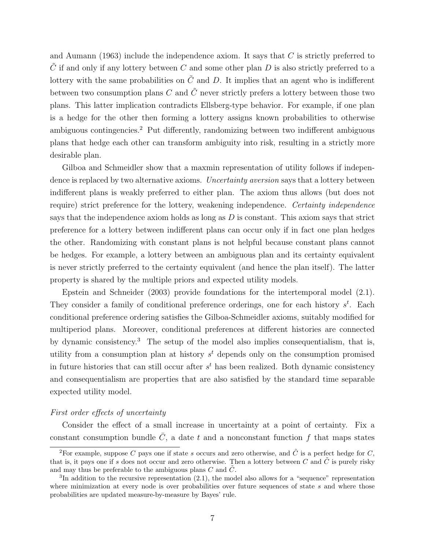and Aumann (1963) include the independence axiom. It says that  $C$  is strictly preferred to  $\tilde{C}$  if and only if any lottery between C and some other plan D is also strictly preferred to a lottery with the same probabilities on  $\tilde{C}$  and D. It implies that an agent who is indifferent between two consumption plans C and  $\tilde{C}$  never strictly prefers a lottery between those two plans. This latter implication contradicts Ellsberg-type behavior. For example, if one plan is a hedge for the other then forming a lottery assigns known probabilities to otherwise ambiguous contingencies.<sup>2</sup> Put differently, randomizing between two indifferent ambiguous plans that hedge each other can transform ambiguity into risk, resulting in a strictly more desirable plan.

Gilboa and Schmeidler show that a maxmin representation of utility follows if independence is replaced by two alternative axioms. Uncertainty aversion says that a lottery between indifferent plans is weakly preferred to either plan. The axiom thus allows (but does not require) strict preference for the lottery, weakening independence. Certainty independence says that the independence axiom holds as long as  $D$  is constant. This axiom says that strict preference for a lottery between indifferent plans can occur only if in fact one plan hedges the other. Randomizing with constant plans is not helpful because constant plans cannot be hedges. For example, a lottery between an ambiguous plan and its certainty equivalent is never strictly preferred to the certainty equivalent (and hence the plan itself). The latter property is shared by the multiple priors and expected utility models.

Epstein and Schneider (2003) provide foundations for the intertemporal model (2.1). They consider a family of conditional preference orderings, one for each history  $s^t$ . Each conditional preference ordering satisfies the Gilboa-Schmeidler axioms, suitably modified for multiperiod plans. Moreover, conditional preferences at different histories are connected by dynamic consistency.<sup>3</sup> The setup of the model also implies consequentialism, that is, utility from a consumption plan at history  $s<sup>t</sup>$  depends only on the consumption promised in future histories that can still occur after  $s<sup>t</sup>$  has been realized. Both dynamic consistency and consequentialism are properties that are also satisfied by the standard time separable expected utility model.

### First order effects of uncertainty

Consider the effect of a small increase in uncertainty at a point of certainty. Fix a constant consumption bundle  $\overline{C}$ , a date t and a nonconstant function f that maps states

<sup>&</sup>lt;sup>2</sup>For example, suppose C pays one if state s occurs and zero otherwise, and  $\tilde{C}$  is a perfect hedge for C, that is, it pays one if s does not occur and zero otherwise. Then a lottery between C and  $\hat{C}$  is purely risky and may thus be preferable to the ambiguous plans  $C$  and  $\tilde{C}$ .

 ${}^{3}$ In addition to the recursive representation (2.1), the model also allows for a "sequence" representation where minimization at every node is over probabilities over future sequences of state  $s$  and where those probabilities are updated measure-by-measure by Bayes' rule.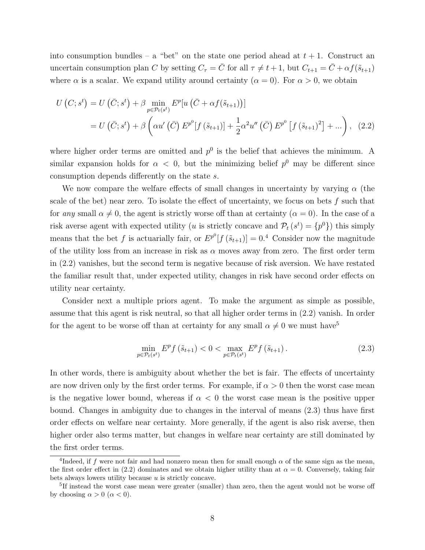into consumption bundles – a "bet" on the state one period ahead at  $t + 1$ . Construct an uncertain consumption plan C by setting  $C_{\tau} = \overline{C}$  for all  $\tau \neq t + 1$ , but  $C_{t+1} = \overline{C} + \alpha f(\tilde{s}_{t+1})$ where  $\alpha$  is a scalar. We expand utility around certainty  $(\alpha = 0)$ . For  $\alpha > 0$ , we obtain

$$
U\left(C; s^{t}\right) = U\left(\bar{C}; s^{t}\right) + \beta \min_{p \in \mathcal{P}_{t}(s^{t})} E^{p}[u\left(\bar{C} + \alpha f(\tilde{s}_{t+1})\right)]
$$
  
= 
$$
U\left(\bar{C}; s^{t}\right) + \beta \left(\alpha u'\left(\bar{C}\right) E^{p^{0}}[f\left(\tilde{s}_{t+1}\right)] + \frac{1}{2}\alpha^{2} u''\left(\bar{C}\right) E^{p^{0}}\left[f\left(\tilde{s}_{t+1}\right)^{2}\right] + \dots\right), \quad (2.2)
$$

where higher order terms are omitted and  $p^0$  is the belief that achieves the minimum. A similar expansion holds for  $\alpha < 0$ , but the minimizing belief  $p^0$  may be different since consumption depends differently on the state s.

We now compare the welfare effects of small changes in uncertainty by varying  $\alpha$  (the scale of the bet) near zero. To isolate the effect of uncertainty, we focus on bets  $f$  such that for any small  $\alpha \neq 0$ , the agent is strictly worse off than at certainty  $(\alpha = 0)$ . In the case of a risk averse agent with expected utility (*u* is strictly concave and  $\mathcal{P}_t(s^t) = \{p^0\}$ ) this simply means that the bet f is actuarially fair, or  $E^{p^0}[f(\tilde{s}_{t+1})] = 0.4$  Consider now the magnitude of the utility loss from an increase in risk as  $\alpha$  moves away from zero. The first order term in (2.2) vanishes, but the second term is negative because of risk aversion. We have restated the familiar result that, under expected utility, changes in risk have second order effects on utility near certainty.

Consider next a multiple priors agent. To make the argument as simple as possible, assume that this agent is risk neutral, so that all higher order terms in (2.2) vanish. In order for the agent to be worse off than at certainty for any small  $\alpha \neq 0$  we must have<sup>5</sup>

$$
\min_{p \in \mathcal{P}_t(s^t)} E^p f\left(\tilde{s}_{t+1}\right) < 0 < \max_{p \in \mathcal{P}_t(s^t)} E^p f\left(\tilde{s}_{t+1}\right). \tag{2.3}
$$

In other words, there is ambiguity about whether the bet is fair. The effects of uncertainty are now driven only by the first order terms. For example, if  $\alpha > 0$  then the worst case mean is the negative lower bound, whereas if  $\alpha < 0$  the worst case mean is the positive upper bound. Changes in ambiguity due to changes in the interval of means (2.3) thus have first order effects on welfare near certainty. More generally, if the agent is also risk averse, then higher order also terms matter, but changes in welfare near certainty are still dominated by the first order terms.

<sup>&</sup>lt;sup>4</sup>Indeed, if f were not fair and had nonzero mean then for small enough  $\alpha$  of the same sign as the mean, the first order effect in (2.2) dominates and we obtain higher utility than at  $\alpha = 0$ . Conversely, taking fair bets always lowers utility because  $u$  is strictly concave.

<sup>&</sup>lt;sup>5</sup>If instead the worst case mean were greater (smaller) than zero, then the agent would not be worse off by choosing  $\alpha > 0$  ( $\alpha < 0$ ).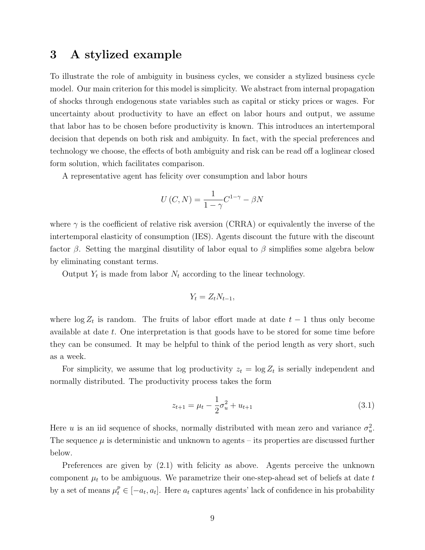## 3 A stylized example

To illustrate the role of ambiguity in business cycles, we consider a stylized business cycle model. Our main criterion for this model is simplicity. We abstract from internal propagation of shocks through endogenous state variables such as capital or sticky prices or wages. For uncertainty about productivity to have an effect on labor hours and output, we assume that labor has to be chosen before productivity is known. This introduces an intertemporal decision that depends on both risk and ambiguity. In fact, with the special preferences and technology we choose, the effects of both ambiguity and risk can be read off a loglinear closed form solution, which facilitates comparison.

A representative agent has felicity over consumption and labor hours

$$
U(C, N) = \frac{1}{1 - \gamma} C^{1 - \gamma} - \beta N
$$

where  $\gamma$  is the coefficient of relative risk aversion (CRRA) or equivalently the inverse of the intertemporal elasticity of consumption (IES). Agents discount the future with the discount factor  $\beta$ . Setting the marginal disutility of labor equal to  $\beta$  simplifies some algebra below by eliminating constant terms.

Output  $Y_t$  is made from labor  $N_t$  according to the linear technology.

$$
Y_t = Z_t N_{t-1},
$$

where  $\log Z_t$  is random. The fruits of labor effort made at date  $t-1$  thus only become available at date t. One interpretation is that goods have to be stored for some time before they can be consumed. It may be helpful to think of the period length as very short, such as a week.

For simplicity, we assume that log productivity  $z_t = \log Z_t$  is serially independent and normally distributed. The productivity process takes the form

$$
z_{t+1} = \mu_t - \frac{1}{2}\sigma_u^2 + u_{t+1}
$$
\n(3.1)

Here u is an iid sequence of shocks, normally distributed with mean zero and variance  $\sigma_u^2$ . The sequence  $\mu$  is deterministic and unknown to agents – its properties are discussed further below.

Preferences are given by (2.1) with felicity as above. Agents perceive the unknown component  $\mu_t$  to be ambiguous. We parametrize their one-step-ahead set of beliefs at date t by a set of means  $\mu_t^p \in [-a_t, a_t]$ . Here  $a_t$  captures agents' lack of confidence in his probability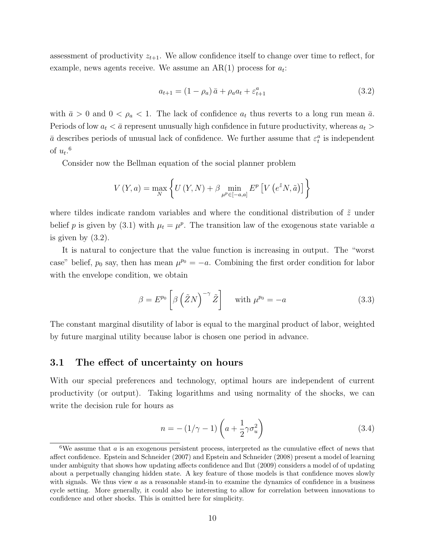assessment of productivity  $z_{t+1}$ . We allow confidence itself to change over time to reflect, for example, news agents receive. We assume an  $AR(1)$  process for  $a_t$ :

$$
a_{t+1} = (1 - \rho_a) \bar{a} + \rho_a a_t + \varepsilon_{t+1}^a \tag{3.2}
$$

with  $\bar{a} > 0$  and  $0 < \rho_a < 1$ . The lack of confidence  $a_t$  thus reverts to a long run mean  $\bar{a}$ . Periods of low  $a_t < \bar{a}$  represent unusually high confidence in future productivity, whereas  $a_t >$  $\bar{a}$  describes periods of unusual lack of confidence. We further assume that  $\varepsilon_t^a$  is independent of  $u_t$ .<sup>6</sup>

Consider now the Bellman equation of the social planner problem

$$
V(Y,a) = \max_{N} \left\{ U(Y,N) + \beta \min_{\mu^p \in [-a,a]} E^p \left[ V \left( e^{\tilde{z}} N, \tilde{a} \right) \right] \right\}
$$

where tildes indicate random variables and where the conditional distribution of  $\tilde{z}$  under belief p is given by (3.1) with  $\mu_t = \mu^p$ . The transition law of the exogenous state variable a is given by (3.2).

It is natural to conjecture that the value function is increasing in output. The "worst case" belief,  $p_0$  say, then has mean  $\mu^{p_0} = -a$ . Combining the first order condition for labor with the envelope condition, we obtain

$$
\beta = E^{p_0} \left[ \beta \left( \tilde{Z} N \right)^{-\gamma} \tilde{Z} \right] \quad \text{with } \mu^{p_0} = -a \tag{3.3}
$$

The constant marginal disutility of labor is equal to the marginal product of labor, weighted by future marginal utility because labor is chosen one period in advance.

### 3.1 The effect of uncertainty on hours

With our special preferences and technology, optimal hours are independent of current productivity (or output). Taking logarithms and using normality of the shocks, we can write the decision rule for hours as

$$
n = -(1/\gamma - 1)\left(a + \frac{1}{2}\gamma\sigma_u^2\right) \tag{3.4}
$$

 ${}^6$ We assume that *a* is an exogenous persistent process, interpreted as the cumulative effect of news that affect confidence. Epstein and Schneider (2007) and Epstein and Schneider (2008) present a model of learning under ambiguity that shows how updating affects confidence and Ilut (2009) considers a model of of updating about a perpetually changing hidden state. A key feature of those models is that confidence moves slowly with signals. We thus view  $a$  as a reasonable stand-in to examine the dynamics of confidence in a business cycle setting. More generally, it could also be interesting to allow for correlation between innovations to confidence and other shocks. This is omitted here for simplicity.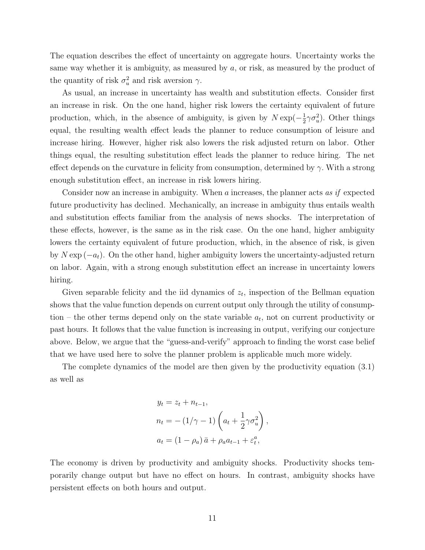The equation describes the effect of uncertainty on aggregate hours. Uncertainty works the same way whether it is ambiguity, as measured by a, or risk, as measured by the product of the quantity of risk  $\sigma_u^2$  and risk aversion  $\gamma$ .

As usual, an increase in uncertainty has wealth and substitution effects. Consider first an increase in risk. On the one hand, higher risk lowers the certainty equivalent of future production, which, in the absence of ambiguity, is given by  $N \exp(-\frac{1}{2})$  $\frac{1}{2}\gamma \sigma_u^2$ ). Other things equal, the resulting wealth effect leads the planner to reduce consumption of leisure and increase hiring. However, higher risk also lowers the risk adjusted return on labor. Other things equal, the resulting substitution effect leads the planner to reduce hiring. The net effect depends on the curvature in felicity from consumption, determined by  $\gamma$ . With a strong enough substitution effect, an increase in risk lowers hiring.

Consider now an increase in ambiguity. When a increases, the planner acts as if expected future productivity has declined. Mechanically, an increase in ambiguity thus entails wealth and substitution effects familiar from the analysis of news shocks. The interpretation of these effects, however, is the same as in the risk case. On the one hand, higher ambiguity lowers the certainty equivalent of future production, which, in the absence of risk, is given by  $N \exp(-a_t)$ . On the other hand, higher ambiguity lowers the uncertainty-adjusted return on labor. Again, with a strong enough substitution effect an increase in uncertainty lowers hiring.

Given separable felicity and the iid dynamics of  $z_t$ , inspection of the Bellman equation shows that the value function depends on current output only through the utility of consumption – the other terms depend only on the state variable  $a_t$ , not on current productivity or past hours. It follows that the value function is increasing in output, verifying our conjecture above. Below, we argue that the "guess-and-verify" approach to finding the worst case belief that we have used here to solve the planner problem is applicable much more widely.

The complete dynamics of the model are then given by the productivity equation (3.1) as well as

$$
y_t = z_t + n_{t-1},
$$
  
\n
$$
n_t = -(1/\gamma - 1) \left( a_t + \frac{1}{2} \gamma \sigma_u^2 \right),
$$
  
\n
$$
a_t = (1 - \rho_a) \bar{a} + \rho_a a_{t-1} + \varepsilon_t^a,
$$

The economy is driven by productivity and ambiguity shocks. Productivity shocks temporarily change output but have no effect on hours. In contrast, ambiguity shocks have persistent effects on both hours and output.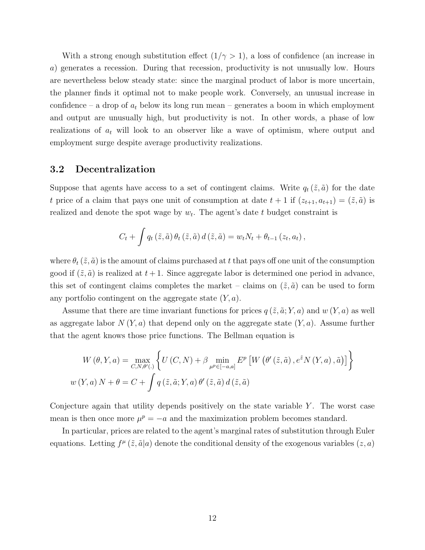With a strong enough substitution effect  $(1/\gamma > 1)$ , a loss of confidence (an increase in a) generates a recession. During that recession, productivity is not unusually low. Hours are nevertheless below steady state: since the marginal product of labor is more uncertain, the planner finds it optimal not to make people work. Conversely, an unusual increase in confidence – a drop of  $a_t$  below its long run mean – generates a boom in which employment and output are unusually high, but productivity is not. In other words, a phase of low realizations of  $a_t$  will look to an observer like a wave of optimism, where output and employment surge despite average productivity realizations.

## 3.2 Decentralization

Suppose that agents have access to a set of contingent claims. Write  $q_t(\tilde{z}, \tilde{a})$  for the date t price of a claim that pays one unit of consumption at date  $t + 1$  if  $(z_{t+1}, a_{t+1}) = (\tilde{z}, \tilde{a})$  is realized and denote the spot wage by  $w_t$ . The agent's date t budget constraint is

$$
C_t + \int q_t(\tilde{z}, \tilde{a}) \theta_t(\tilde{z}, \tilde{a}) d(\tilde{z}, \tilde{a}) = w_t N_t + \theta_{t-1} (z_t, a_t),
$$

where  $\theta_t(\tilde{z}, \tilde{a})$  is the amount of claims purchased at t that pays off one unit of the consumption good if  $(\tilde{z}, \tilde{a})$  is realized at  $t + 1$ . Since aggregate labor is determined one period in advance, this set of contingent claims completes the market – claims on  $(\tilde{z}, \tilde{a})$  can be used to form any portfolio contingent on the aggregate state  $(Y, a)$ .

Assume that there are time invariant functions for prices  $q(\tilde{z}, \tilde{a}; Y, a)$  and  $w(Y, a)$  as well as aggregate labor  $N(Y, a)$  that depend only on the aggregate state  $(Y, a)$ . Assume further that the agent knows those price functions. The Bellman equation is

$$
W(\theta, Y, a) = \max_{C, N, \theta'(.)} \left\{ U(C, N) + \beta \min_{\mu^p \in [-a, a]} E^p \left[ W\left(\theta'(\tilde{z}, \tilde{a}), e^{\tilde{z}} N(Y, a), \tilde{a}\right) \right] \right\}
$$
  

$$
w(Y, a) N + \theta = C + \int q(\tilde{z}, \tilde{a}; Y, a) \theta'(\tilde{z}, \tilde{a}) d(\tilde{z}, \tilde{a})
$$

Conjecture again that utility depends positively on the state variable  $Y$ . The worst case mean is then once more  $\mu^p = -a$  and the maximization problem becomes standard.

In particular, prices are related to the agent's marginal rates of substitution through Euler equations. Letting  $f^{\mu}(\tilde{z}, \tilde{a}|a)$  denote the conditional density of the exogenous variables  $(z, a)$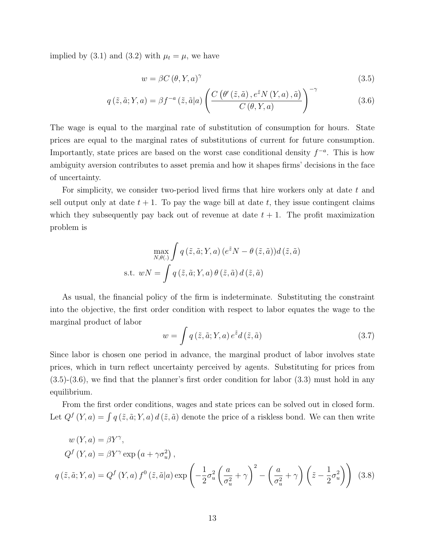implied by (3.1) and (3.2) with  $\mu_t = \mu$ , we have

$$
w = \beta C \left( \theta, Y, a \right)^{\gamma} \tag{3.5}
$$

$$
q\left(\tilde{z},\tilde{a};Y,a\right) = \beta f^{-a}\left(\tilde{z},\tilde{a}|a\right) \left(\frac{C\left(\theta'\left(\tilde{z},\tilde{a}\right),e^{\tilde{z}}N\left(Y,a\right),\tilde{a}\right)}{C\left(\theta,Y,a\right)}\right)^{-\gamma} \tag{3.6}
$$

The wage is equal to the marginal rate of substitution of consumption for hours. State prices are equal to the marginal rates of substitutions of current for future consumption. Importantly, state prices are based on the worst case conditional density  $f^{-a}$ . This is how ambiguity aversion contributes to asset premia and how it shapes firms' decisions in the face of uncertainty.

For simplicity, we consider two-period lived firms that hire workers only at date t and sell output only at date  $t + 1$ . To pay the wage bill at date t, they issue contingent claims which they subsequently pay back out of revenue at date  $t + 1$ . The profit maximization problem is

$$
\max_{N,\theta(.)} \int q(\tilde{z}, \tilde{a}; Y, a) (e^{\tilde{z}}N - \theta(\tilde{z}, \tilde{a})) d(\tilde{z}, \tilde{a})
$$
  
s.t. 
$$
wN = \int q(\tilde{z}, \tilde{a}; Y, a) \theta(\tilde{z}, \tilde{a}) d(\tilde{z}, \tilde{a})
$$

As usual, the financial policy of the firm is indeterminate. Substituting the constraint into the objective, the first order condition with respect to labor equates the wage to the marginal product of labor

$$
w = \int q(\tilde{z}, \tilde{a}; Y, a) e^{\tilde{z}} d(\tilde{z}, \tilde{a})
$$
\n(3.7)

Since labor is chosen one period in advance, the marginal product of labor involves state prices, which in turn reflect uncertainty perceived by agents. Substituting for prices from  $(3.5)-(3.6)$ , we find that the planner's first order condition for labor  $(3.3)$  must hold in any equilibrium.

From the first order conditions, wages and state prices can be solved out in closed form. Let  $Q^f(Y, a) = \int q(\tilde{z}, \tilde{a}; Y, a) d(\tilde{z}, \tilde{a})$  denote the price of a riskless bond. We can then write

$$
w(Y, a) = \beta Y^{\gamma},
$$
  
\n
$$
Q^{f}(Y, a) = \beta Y^{\gamma} \exp(a + \gamma \sigma_{u}^{2}),
$$
  
\n
$$
q(\tilde{z}, \tilde{a}; Y, a) = Q^{f}(Y, a) f^{0}(\tilde{z}, \tilde{a}|a) \exp\left(-\frac{1}{2}\sigma_{u}^{2}\left(\frac{a}{\sigma_{u}^{2}} + \gamma\right)^{2} - \left(\frac{a}{\sigma_{u}^{2}} + \gamma\right)\left(\tilde{z} - \frac{1}{2}\sigma_{u}^{2}\right)\right)
$$
(3.8)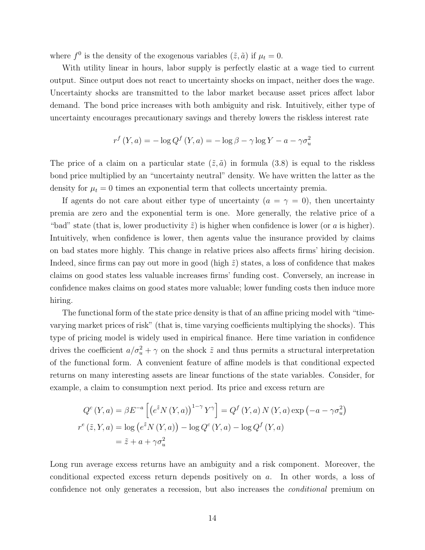where  $f^0$  is the density of the exogenous variables  $(\tilde{z}, \tilde{a})$  if  $\mu_t = 0$ .

With utility linear in hours, labor supply is perfectly elastic at a wage tied to current output. Since output does not react to uncertainty shocks on impact, neither does the wage. Uncertainty shocks are transmitted to the labor market because asset prices affect labor demand. The bond price increases with both ambiguity and risk. Intuitively, either type of uncertainty encourages precautionary savings and thereby lowers the riskless interest rate

$$
r^{f}(Y,a) = -\log Q^{f}(Y,a) = -\log \beta - \gamma \log Y - a - \gamma \sigma_{u}^{2}
$$

The price of a claim on a particular state  $(\tilde{z}, \tilde{a})$  in formula (3.8) is equal to the riskless bond price multiplied by an "uncertainty neutral" density. We have written the latter as the density for  $\mu_t = 0$  times an exponential term that collects uncertainty premia.

If agents do not care about either type of uncertainty  $(a = \gamma = 0)$ , then uncertainty premia are zero and the exponential term is one. More generally, the relative price of a "bad" state (that is, lower productivity  $\tilde{z}$ ) is higher when confidence is lower (or a is higher). Intuitively, when confidence is lower, then agents value the insurance provided by claims on bad states more highly. This change in relative prices also affects firms' hiring decision. Indeed, since firms can pay out more in good (high  $\tilde{z}$ ) states, a loss of confidence that makes claims on good states less valuable increases firms' funding cost. Conversely, an increase in confidence makes claims on good states more valuable; lower funding costs then induce more hiring.

The functional form of the state price density is that of an affine pricing model with "timevarying market prices of risk" (that is, time varying coefficients multiplying the shocks). This type of pricing model is widely used in empirical finance. Here time variation in confidence drives the coefficient  $a/\sigma_u^2 + \gamma$  on the shock  $\tilde{z}$  and thus permits a structural interpretation of the functional form. A convenient feature of affine models is that conditional expected returns on many interesting assets are linear functions of the state variables. Consider, for example, a claim to consumption next period. Its price and excess return are

$$
Q^{c}(Y,a) = \beta E^{-a} \left[ \left( e^{\tilde{z}} N(Y,a) \right)^{1-\gamma} Y^{\gamma} \right] = Q^{f}(Y,a) N(Y,a) \exp \left( -a - \gamma \sigma_{u}^{2} \right)
$$
  

$$
r^{e}(\tilde{z}, Y, a) = \log \left( e^{\tilde{z}} N(Y,a) \right) - \log Q^{c}(Y,a) - \log Q^{f}(Y,a)
$$
  

$$
= \tilde{z} + a + \gamma \sigma_{u}^{2}
$$

Long run average excess returns have an ambiguity and a risk component. Moreover, the conditional expected excess return depends positively on a. In other words, a loss of confidence not only generates a recession, but also increases the conditional premium on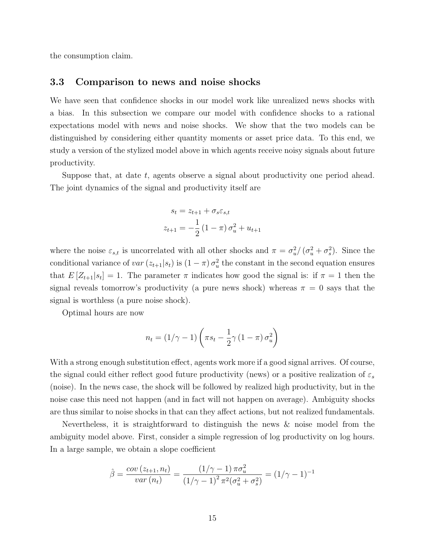the consumption claim.

### 3.3 Comparison to news and noise shocks

We have seen that confidence shocks in our model work like unrealized news shocks with a bias. In this subsection we compare our model with confidence shocks to a rational expectations model with news and noise shocks. We show that the two models can be distinguished by considering either quantity moments or asset price data. To this end, we study a version of the stylized model above in which agents receive noisy signals about future productivity.

Suppose that, at date  $t$ , agents observe a signal about productivity one period ahead. The joint dynamics of the signal and productivity itself are

$$
s_t = z_{t+1} + \sigma_s \varepsilon_{s,t}
$$
  

$$
z_{t+1} = -\frac{1}{2} (1 - \pi) \sigma_u^2 + u_{t+1}
$$

where the noise  $\varepsilon_{s,t}$  is uncorrelated with all other shocks and  $\pi = \sigma_u^2/(\sigma_u^2 + \sigma_s^2)$ . Since the conditional variance of  $var(z_{t+1}|s_t)$  is  $(1 - \pi) \sigma_u^2$  the constant in the second equation ensures that  $E[Z_{t+1}|s_t] = 1$ . The parameter  $\pi$  indicates how good the signal is: if  $\pi = 1$  then the signal reveals tomorrow's productivity (a pure news shock) whereas  $\pi = 0$  says that the signal is worthless (a pure noise shock).

Optimal hours are now

$$
n_t = (1/\gamma - 1)\left(\pi s_t - \frac{1}{2}\gamma (1 - \pi) \sigma_u^2\right)
$$

With a strong enough substitution effect, agents work more if a good signal arrives. Of course, the signal could either reflect good future productivity (news) or a positive realization of  $\varepsilon_s$ (noise). In the news case, the shock will be followed by realized high productivity, but in the noise case this need not happen (and in fact will not happen on average). Ambiguity shocks are thus similar to noise shocks in that can they affect actions, but not realized fundamentals.

Nevertheless, it is straightforward to distinguish the news & noise model from the ambiguity model above. First, consider a simple regression of log productivity on log hours. In a large sample, we obtain a slope coefficient

$$
\hat{\beta} = \frac{\text{cov}(z_{t+1}, n_t)}{\text{var}(n_t)} = \frac{(1/\gamma - 1)\pi\sigma_u^2}{(1/\gamma - 1)^2 \pi^2(\sigma_u^2 + \sigma_s^2)} = (1/\gamma - 1)^{-1}
$$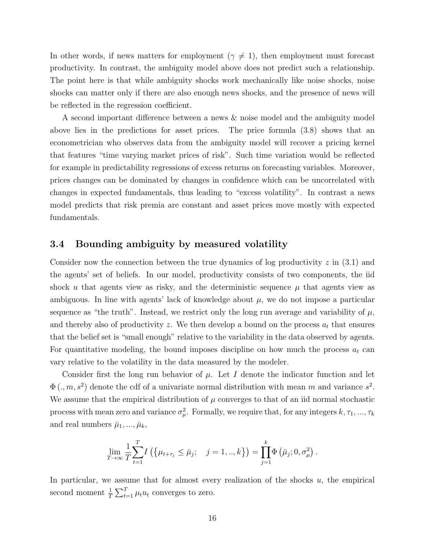In other words, if news matters for employment ( $\gamma \neq 1$ ), then employment must forecast productivity. In contrast, the ambiguity model above does not predict such a relationship. The point here is that while ambiguity shocks work mechanically like noise shocks, noise shocks can matter only if there are also enough news shocks, and the presence of news will be reflected in the regression coefficient.

A second important difference between a news & noise model and the ambiguity model above lies in the predictions for asset prices. The price formula (3.8) shows that an econometrician who observes data from the ambiguity model will recover a pricing kernel that features "time varying market prices of risk". Such time variation would be reflected for example in predictability regressions of excess returns on forecasting variables. Moreover, prices changes can be dominated by changes in confidence which can be uncorrelated with changes in expected fundamentals, thus leading to "excess volatility". In contrast a news model predicts that risk premia are constant and asset prices move mostly with expected fundamentals.

## 3.4 Bounding ambiguity by measured volatility

Consider now the connection between the true dynamics of log productivity  $z$  in (3.1) and the agents' set of beliefs. In our model, productivity consists of two components, the iid shock u that agents view as risky, and the deterministic sequence  $\mu$  that agents view as ambiguous. In line with agents' lack of knowledge about  $\mu$ , we do not impose a particular sequence as "the truth". Instead, we restrict only the long run average and variability of  $\mu$ , and thereby also of productivity z. We then develop a bound on the process  $a_t$  that ensures that the belief set is "small enough" relative to the variability in the data observed by agents. For quantitative modeling, the bound imposes discipline on how much the process  $a_t$  can vary relative to the volatility in the data measured by the modeler.

Consider first the long run behavior of  $\mu$ . Let I denote the indicator function and let  $\Phi(., m, s^2)$  denote the cdf of a univariate normal distribution with mean m and variance  $s^2$ . We assume that the empirical distribution of  $\mu$  converges to that of an iid normal stochastic process with mean zero and variance  $\sigma_{\mu}^2$ . Formally, we require that, for any integers  $k, \tau_1, ..., \tau_k$ and real numbers  $\bar{\mu}_1, ..., \bar{\mu}_k$ ,

$$
\lim_{T \to \infty} \frac{1}{T} \sum_{t=1}^{T} I\left( \{ \mu_{t+\tau_j} \leq \bar{\mu}_j; \quad j = 1,..,k \} \right) = \prod_{j=1}^{k} \Phi\left( \bar{\mu}_j; 0, \sigma_{\mu}^2 \right).
$$

In particular, we assume that for almost every realization of the shocks  $u$ , the empirical second moment  $\frac{1}{T} \sum_{t=1}^{T} \mu_t u_t$  converges to zero.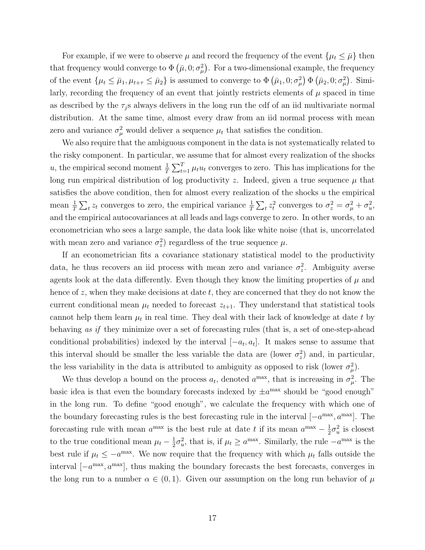For example, if we were to observe  $\mu$  and record the frequency of the event  $\{\mu_t \leq \bar{\mu}\}\$  then that frequency would converge to  $\Phi(\bar{\mu}, 0; \sigma^2_{\mu})$ . For a two-dimensional example, the frequency of the event  $\{\mu_t \leq \bar{\mu}_1, \mu_{t+\tau} \leq \bar{\mu}_2\}$  is assumed to converge to  $\Phi(\bar{\mu}_1, 0; \sigma_\mu^2) \Phi(\bar{\mu}_2, 0; \sigma_\mu^2)$ . Similarly, recording the frequency of an event that jointly restricts elements of  $\mu$  spaced in time as described by the  $\tau_i$  s always delivers in the long run the cdf of an iid multivariate normal distribution. At the same time, almost every draw from an iid normal process with mean zero and variance  $\sigma_{\mu}^2$  would deliver a sequence  $\mu_t$  that satisfies the condition.

We also require that the ambiguous component in the data is not systematically related to the risky component. In particular, we assume that for almost every realization of the shocks u, the empirical second moment  $\frac{1}{T} \sum_{t=1}^{T} \mu_t u_t$  converges to zero. This has implications for the long run empirical distribution of log productivity z. Indeed, given a true sequence  $\mu$  that satisfies the above condition, then for almost every realization of the shocks u the empirical mean  $\frac{1}{T} \sum_t z_t$  converges to zero, the empirical variance  $\frac{1}{T} \sum_t z_t^2$  converges to  $\sigma_z^2 = \sigma_\mu^2 + \sigma_u^2$ , and the empirical autocovariances at all leads and lags converge to zero. In other words, to an econometrician who sees a large sample, the data look like white noise (that is, uncorrelated with mean zero and variance  $\sigma_z^2$  regardless of the true sequence  $\mu$ .

If an econometrician fits a covariance stationary statistical model to the productivity data, he thus recovers an iid process with mean zero and variance  $\sigma_z^2$ . Ambiguity averse agents look at the data differently. Even though they know the limiting properties of  $\mu$  and hence of z, when they make decisions at date t, they are concerned that they do not know the current conditional mean  $\mu_t$  needed to forecast  $z_{t+1}$ . They understand that statistical tools cannot help them learn  $\mu_t$  in real time. They deal with their lack of knowledge at date t by behaving as if they minimize over a set of forecasting rules (that is, a set of one-step-ahead conditional probabilities) indexed by the interval  $[-a_t, a_t]$ . It makes sense to assume that this interval should be smaller the less variable the data are (lower  $\sigma_z^2$ ) and, in particular, the less variability in the data is attributed to ambiguity as opposed to risk (lower  $\sigma_{\mu}^2$ ).

We thus develop a bound on the process  $a_t$ , denoted  $a^{\text{max}}$ , that is increasing in  $\sigma_{\mu}^2$ . The basic idea is that even the boundary forecasts indexed by  $\pm a^{\text{max}}$  should be "good enough" in the long run. To define "good enough", we calculate the frequency with which one of the boundary forecasting rules is the best forecasting rule in the interval  $[-a^{\text{max}}, a^{\text{max}}]$ . The forecasting rule with mean  $a^{\max}$  is the best rule at date t if its mean  $a^{\max} - \frac{1}{2}$  $\frac{1}{2}\sigma_u^2$  is closest to the true conditional mean  $\mu_t - \frac{1}{2}$  $\frac{1}{2}\sigma_u^2$ , that is, if  $\mu_t \ge a^{\text{max}}$ . Similarly, the rule  $-a^{\text{max}}$  is the best rule if  $\mu_t \leq -a^{\text{max}}$ . We now require that the frequency with which  $\mu_t$  falls outside the interval  $[-a^{\text{max}}, a^{\text{max}}]$ , thus making the boundary forecasts the best forecasts, converges in the long run to a number  $\alpha \in (0,1)$ . Given our assumption on the long run behavior of  $\mu$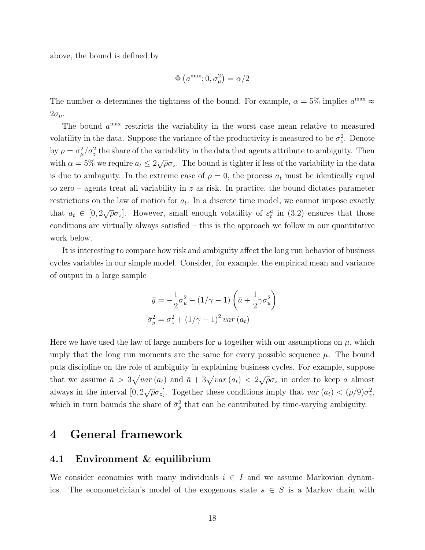above, the bound is defined by

$$
\Phi\left(a^{\max}; 0, \sigma_{\mu}^{2}\right) = \alpha/2
$$

The number  $\alpha$  determines the tightness of the bound. For example,  $\alpha = 5\%$  implies  $a^{\text{max}} \approx$  $2\sigma_{\mu}$ .

The bound  $a<sup>max</sup>$  restricts the variability in the worst case mean relative to measured volatility in the data. Suppose the variance of the productivity is measured to be  $\sigma_z^2$ . Denote by  $\rho = \sigma_\mu^2/\sigma_z^2$  the share of the variability in the data that agents attribute to ambiguity. Then with  $\alpha = 5\%$  we require  $a_t \leq 2\sqrt{\rho}\sigma_z$ . The bound is tighter if less of the variability in the data is due to ambiguity. In the extreme case of  $\rho = 0$ , the process  $a_t$  must be identically equal to zero – agents treat all variability in  $z$  as risk. In practice, the bound dictates parameter restrictions on the law of motion for  $a_t$ . In a discrete time model, we cannot impose exactly that  $a_t \in [0, 2\sqrt{\rho}\sigma_z]$ . However, small enough volatility of  $\varepsilon_t^a$  in (3.2) ensures that those conditions are virtually always satisfied – this is the approach we follow in our quantitative work below.

It is interesting to compare how risk and ambiguity affect the long run behavior of business cycles variables in our simple model. Consider, for example, the empirical mean and variance of output in a large sample

$$
\bar{y} = -\frac{1}{2}\sigma_u^2 - (1/\gamma - 1)\left(\bar{a} + \frac{1}{2}\gamma\sigma_u^2\right)
$$

$$
\bar{\sigma}_y^2 = \sigma_z^2 + (1/\gamma - 1)^2 \operatorname{var}(a_t)
$$

Here we have used the law of large numbers for u together with our assumptions on  $\mu$ , which imply that the long run moments are the same for every possible sequence  $\mu$ . The bound puts discipline on the role of ambiguity in explaining business cycles. For example, suppose that we assume  $\bar{a} > 3\sqrt{var(a_t)}$  and  $\bar{a} + 3\sqrt{var(a_t)} < 2\sqrt{\rho}\sigma_z$  in order to keep a almost always in the interval  $[0, 2\sqrt{\rho}\sigma_z]$ . Together these conditions imply that  $var(a_t) < (\rho/9)\sigma_z^2$ , which in turn bounds the share of  $\bar{\sigma}_y^2$  that can be contributed by time-varying ambiguity.

## 4 General framework

### 4.1 Environment & equilibrium

We consider economies with many individuals  $i \in I$  and we assume Markovian dynamics. The econometrician's model of the exogenous state  $s \in S$  is a Markov chain with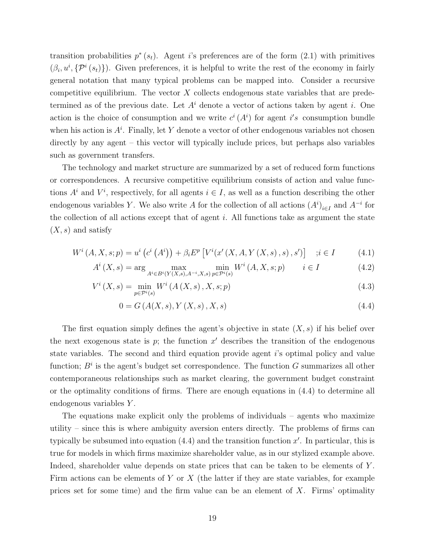transition probabilities  $p^*(s_t)$ . Agent i's preferences are of the form  $(2.1)$  with primitives  $(\beta_i, u^i, \{P^i(s_t)\})$ . Given preferences, it is helpful to write the rest of the economy in fairly general notation that many typical problems can be mapped into. Consider a recursive competitive equilibrium. The vector  $X$  collects endogenous state variables that are predetermined as of the previous date. Let  $A<sup>i</sup>$  denote a vector of actions taken by agent i. One action is the choice of consumption and we write  $c^{i}(A^{i})$  for agent i's consumption bundle when his action is  $A^i$ . Finally, let Y denote a vector of other endogenous variables not chosen directly by any agent – this vector will typically include prices, but perhaps also variables such as government transfers.

The technology and market structure are summarized by a set of reduced form functions or correspondences. A recursive competitive equilibrium consists of action and value functions  $A^i$  and  $V^i$ , respectively, for all agents  $i \in I$ , as well as a function describing the other endogenous variables Y. We also write A for the collection of all actions  $(A^{i})_{i\in I}$  and  $A^{-i}$  for the collection of all actions except that of agent  $i$ . All functions take as argument the state  $(X, s)$  and satisfy

$$
W^{i}(A, X, s; p) = u^{i}(c^{i}(A^{i})) + \beta_{i}E^{p}[V^{i}(x'(X, A, Y(X, s), s), s')] \quad ; i \in I \tag{4.1}
$$

$$
A^{i}(X,s) = \arg\max_{A^{i} \in B^{i}(Y(X,s),A^{-i},X,s)} \min_{p \in \mathcal{P}^{i}(s)} W^{i}(A,X,s;p) \qquad i \in I
$$
 (4.2)

$$
V^{i}(X,s) = \min_{p \in \mathcal{P}^{i}(s)} W^{i}(A(X,s), X, s; p)
$$
\n(4.3)

$$
0 = G(A(X, s), Y(X, s), X, s)
$$
\n(4.4)

The first equation simply defines the agent's objective in state  $(X, s)$  if his belief over the next exogenous state is  $p$ ; the function  $x'$  describes the transition of the endogenous state variables. The second and third equation provide agent i's optimal policy and value function;  $B^i$  is the agent's budget set correspondence. The function G summarizes all other contemporaneous relationships such as market clearing, the government budget constraint or the optimality conditions of firms. There are enough equations in (4.4) to determine all endogenous variables Y .

The equations make explicit only the problems of individuals – agents who maximize utility – since this is where ambiguity aversion enters directly. The problems of firms can typically be subsumed into equation  $(4.4)$  and the transition function  $x'$ . In particular, this is true for models in which firms maximize shareholder value, as in our stylized example above. Indeed, shareholder value depends on state prices that can be taken to be elements of Y. Firm actions can be elements of Y or X (the latter if they are state variables, for example prices set for some time) and the firm value can be an element of  $X$ . Firms' optimality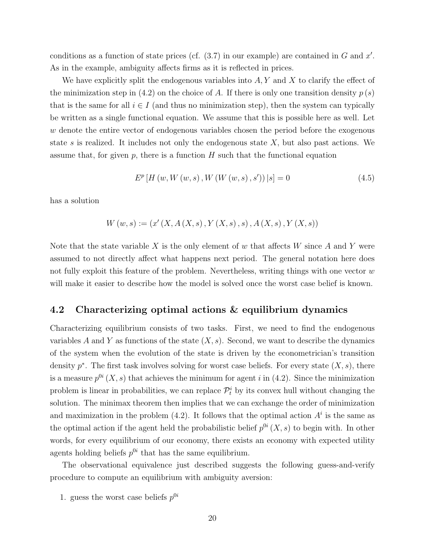conditions as a function of state prices (cf.  $(3.7)$  in our example) are contained in G and x'. As in the example, ambiguity affects firms as it is reflected in prices.

We have explicitly split the endogenous variables into  $A, Y$  and X to clarify the effect of the minimization step in (4.2) on the choice of A. If there is only one transition density  $p(s)$ that is the same for all  $i \in I$  (and thus no minimization step), then the system can typically be written as a single functional equation. We assume that this is possible here as well. Let w denote the entire vector of endogenous variables chosen the period before the exogenous state s is realized. It includes not only the endogenous state  $X$ , but also past actions. We assume that, for given  $p$ , there is a function  $H$  such that the functional equation

$$
E^{p}[H(w, W(w, s), W(W(w, s), s'))|s] = 0
$$
\n(4.5)

has a solution

$$
W(w, s) := (x'(X, A(X, s), Y(X, s), s), A(X, s), Y(X, s))
$$

Note that the state variable X is the only element of w that affects W since A and Y were assumed to not directly affect what happens next period. The general notation here does not fully exploit this feature of the problem. Nevertheless, writing things with one vector  $w$ will make it easier to describe how the model is solved once the worst case belief is known.

### 4.2 Characterizing optimal actions & equilibrium dynamics

Characterizing equilibrium consists of two tasks. First, we need to find the endogenous variables A and Y as functions of the state  $(X, s)$ . Second, we want to describe the dynamics of the system when the evolution of the state is driven by the econometrician's transition density  $p^*$ . The first task involves solving for worst case beliefs. For every state  $(X, s)$ , there is a measure  $p^{0i}(X, s)$  that achieves the minimum for agent i in (4.2). Since the minimization problem is linear in probabilities, we can replace  $\mathcal{P}_t^i$  by its convex hull without changing the solution. The minimax theorem then implies that we can exchange the order of minimization and maximization in the problem  $(4.2)$ . It follows that the optimal action  $A<sup>i</sup>$  is the same as the optimal action if the agent held the probabilistic belief  $p^{0i}(X, s)$  to begin with. In other words, for every equilibrium of our economy, there exists an economy with expected utility agents holding beliefs  $p^{0i}$  that has the same equilibrium.

The observational equivalence just described suggests the following guess-and-verify procedure to compute an equilibrium with ambiguity aversion:

1. guess the worst case beliefs  $p^{0i}$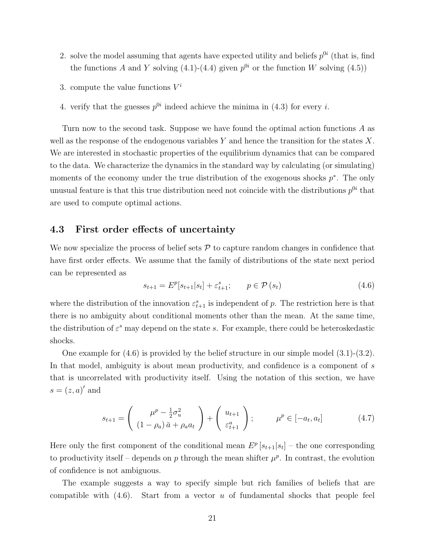- 2. solve the model assuming that agents have expected utility and beliefs  $p^{0i}$  (that is, find the functions A and Y solving (4.1)-(4.4) given  $p^{0i}$  or the function W solving (4.5))
- 3. compute the value functions  $V^i$
- 4. verify that the guesses  $p^{0i}$  indeed achieve the minima in (4.3) for every *i*.

Turn now to the second task. Suppose we have found the optimal action functions A as well as the response of the endogenous variables Y and hence the transition for the states  $X$ . We are interested in stochastic properties of the equilibrium dynamics that can be compared to the data. We characterize the dynamics in the standard way by calculating (or simulating) moments of the economy under the true distribution of the exogenous shocks  $p^*$ . The only unusual feature is that this true distribution need not coincide with the distributions  $p^{0i}$  that are used to compute optimal actions.

### 4.3 First order effects of uncertainty

We now specialize the process of belief sets  $P$  to capture random changes in confidence that have first order effects. We assume that the family of distributions of the state next period can be represented as

$$
s_{t+1} = E^p[s_{t+1}|s_t] + \varepsilon_{t+1}^s; \qquad p \in \mathcal{P}(s_t)
$$
\n(4.6)

where the distribution of the innovation  $\varepsilon_{t+1}^s$  is independent of p. The restriction here is that there is no ambiguity about conditional moments other than the mean. At the same time, the distribution of  $\varepsilon^s$  may depend on the state s. For example, there could be heteroskedastic shocks.

One example for (4.6) is provided by the belief structure in our simple model (3.1)-(3.2). In that model, ambiguity is about mean productivity, and confidence is a component of s that is uncorrelated with productivity itself. Using the notation of this section, we have  $s=(z,a)'$  and

$$
s_{t+1} = \begin{pmatrix} \mu^p - \frac{1}{2}\sigma_u^2 \\ (1 - \rho_a)\bar{a} + \rho_a a_t \end{pmatrix} + \begin{pmatrix} u_{t+1} \\ \varepsilon_{t+1}^a \end{pmatrix}; \qquad \mu^p \in [-a_t, a_t]
$$
 (4.7)

Here only the first component of the conditional mean  $E^p[s_{t+1}|s_t]$  – the one corresponding to productivity itself – depends on p through the mean shifter  $\mu^p$ . In contrast, the evolution of confidence is not ambiguous.

The example suggests a way to specify simple but rich families of beliefs that are compatible with  $(4.6)$ . Start from a vector u of fundamental shocks that people feel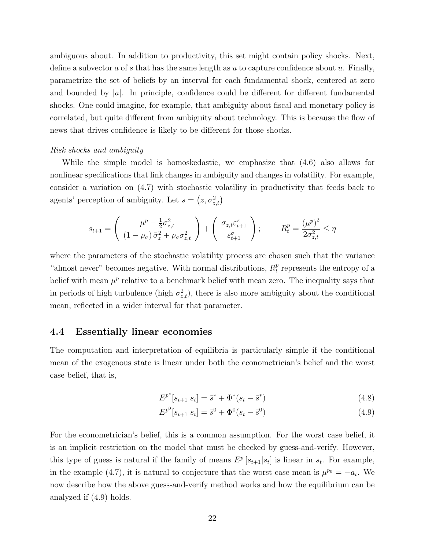ambiguous about. In addition to productivity, this set might contain policy shocks. Next, define a subvector a of s that has the same length as u to capture confidence about u. Finally, parametrize the set of beliefs by an interval for each fundamental shock, centered at zero and bounded by  $|a|$ . In principle, confidence could be different for different fundamental shocks. One could imagine, for example, that ambiguity about fiscal and monetary policy is correlated, but quite different from ambiguity about technology. This is because the flow of news that drives confidence is likely to be different for those shocks.

### Risk shocks and ambiguity

While the simple model is homoskedastic, we emphasize that (4.6) also allows for nonlinear specifications that link changes in ambiguity and changes in volatility. For example, consider a variation on (4.7) with stochastic volatility in productivity that feeds back to agents' perception of ambiguity. Let  $s = (z, \sigma_{z,t}^2)$ 

$$
s_{t+1} = \begin{pmatrix} \mu^p - \frac{1}{2}\sigma_{z,t}^2 \\ (1 - \rho_\sigma)\bar{\sigma}_z^2 + \rho_\sigma\sigma_{z,t}^2 \end{pmatrix} + \begin{pmatrix} \sigma_{z,t}\varepsilon_{t+1}^z \\ \varepsilon_{t+1}^\sigma \end{pmatrix}; \qquad R_t^p = \frac{(\mu^p)^2}{2\sigma_{z,t}^2} \le \eta
$$

where the parameters of the stochastic volatility process are chosen such that the variance "almost never" becomes negative. With normal distributions,  $R_t^p$  $t<sub>t</sub><sup>p</sup>$  represents the entropy of a belief with mean  $\mu^p$  relative to a benchmark belief with mean zero. The inequality says that in periods of high turbulence (high  $\sigma_{z,t}^2$ ), there is also more ambiguity about the conditional mean, reflected in a wider interval for that parameter.

## 4.4 Essentially linear economies

The computation and interpretation of equilibria is particularly simple if the conditional mean of the exogenous state is linear under both the econometrician's belief and the worst case belief, that is,

$$
E^{p^*}[s_{t+1}|s_t] = \bar{s}^* + \Phi^*(s_t - \bar{s}^*)
$$
\n(4.8)

$$
E^{p^0}[s_{t+1}|s_t] = \bar{s}^0 + \Phi^0(s_t - \bar{s}^0)
$$
\n(4.9)

For the econometrician's belief, this is a common assumption. For the worst case belief, it is an implicit restriction on the model that must be checked by guess-and-verify. However, this type of guess is natural if the family of means  $E^p[s_{t+1}|s_t]$  is linear in  $s_t$ . For example, in the example (4.7), it is natural to conjecture that the worst case mean is  $\mu^{p_0} = -a_t$ . We now describe how the above guess-and-verify method works and how the equilibrium can be analyzed if (4.9) holds.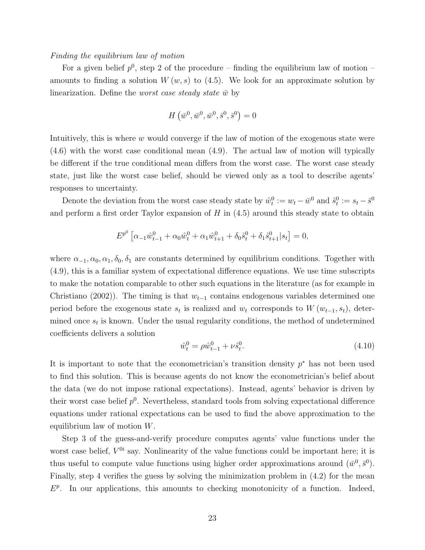### Finding the equilibrium law of motion

For a given belief  $p^0$ , step 2 of the procedure – finding the equilibrium law of motion – amounts to finding a solution  $W(w, s)$  to (4.5). We look for an approximate solution by linearization. Define the *worst case steady state*  $\bar{w}$  by

$$
H(\bar{w}^0, \bar{w}^0, \bar{w}^0, \bar{s}^0, \bar{s}^0) = 0
$$

Intuitively, this is where w would converge if the law of motion of the exogenous state were (4.6) with the worst case conditional mean (4.9). The actual law of motion will typically be different if the true conditional mean differs from the worst case. The worst case steady state, just like the worst case belief, should be viewed only as a tool to describe agents' responses to uncertainty.

Denote the deviation from the worst case steady state by  $\hat{w}_t^0 := w_t - \bar{w}^0$  and  $\hat{s}_t^0 := s_t - \bar{s}^0$ and perform a first order Taylor expansion of  $H$  in  $(4.5)$  around this steady state to obtain

$$
E^{p^0} \left[ \alpha_{-1} \hat{w}_{t-1}^0 + \alpha_0 \hat{w}_t^0 + \alpha_1 \hat{w}_{t+1}^0 + \delta_0 \hat{s}_t^0 + \delta_1 \hat{s}_{t+1}^0 \big| s_t \right] = 0,
$$

where  $\alpha_{-1}, \alpha_0, \alpha_1, \delta_0, \delta_1$  are constants determined by equilibrium conditions. Together with (4.9), this is a familiar system of expectational difference equations. We use time subscripts to make the notation comparable to other such equations in the literature (as for example in Christiano (2002)). The timing is that  $w_{t-1}$  contains endogenous variables determined one period before the exogenous state  $s_t$  is realized and  $w_t$  corresponds to  $W(w_{t-1}, s_t)$ , determined once  $s_t$  is known. Under the usual regularity conditions, the method of undetermined coefficients delivers a solution

$$
\hat{w}_t^0 = \rho \hat{w}_{t-1}^0 + \nu \hat{s}_t^0. \tag{4.10}
$$

It is important to note that the econometrician's transition density  $p^*$  has not been used to find this solution. This is because agents do not know the econometrician's belief about the data (we do not impose rational expectations). Instead, agents' behavior is driven by their worst case belief  $p^0$ . Nevertheless, standard tools from solving expectational difference equations under rational expectations can be used to find the above approximation to the equilibrium law of motion W.

Step 3 of the guess-and-verify procedure computes agents' value functions under the worst case belief,  $V^{0i}$  say. Nonlinearity of the value functions could be important here; it is thus useful to compute value functions using higher order approximations around  $(\bar{w}^0, \bar{s}^0)$ . Finally, step 4 verifies the guess by solving the minimization problem in (4.2) for the mean  $E^p$ . In our applications, this amounts to checking monotonicity of a function. Indeed,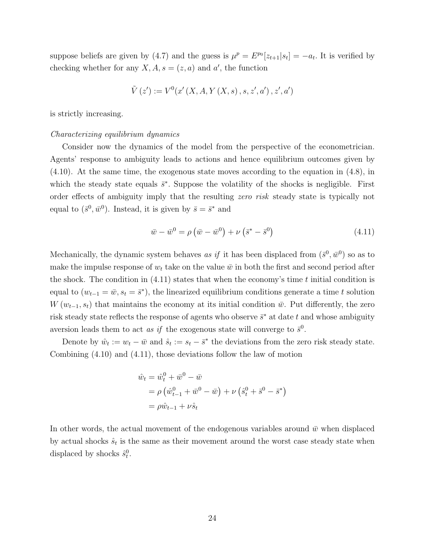suppose beliefs are given by (4.7) and the guess is  $\mu^p = E^{p_0}[z_{t+1}|s_t] = -a_t$ . It is verified by checking whether for any  $X, A, s = (z, a)$  and a', the function

$$
\tilde{V}\left(z^{\prime}\right):=V^0(x^{\prime}\left(X,A,Y\left(X,s\right),s,z^{\prime},a^{\prime}\right),z^{\prime},a^{\prime})
$$

is strictly increasing.

#### Characterizing equilibrium dynamics

Consider now the dynamics of the model from the perspective of the econometrician. Agents' response to ambiguity leads to actions and hence equilibrium outcomes given by (4.10). At the same time, the exogenous state moves according to the equation in (4.8), in which the steady state equals  $\bar{s}^*$ . Suppose the volatility of the shocks is negligible. First order effects of ambiguity imply that the resulting zero risk steady state is typically not equal to  $(\bar{s}^0, \bar{w}^0)$ . Instead, it is given by  $\bar{s} = \bar{s}^*$  and

$$
\bar{w} - \bar{w}^0 = \rho \left( \bar{w} - \bar{w}^0 \right) + \nu \left( \bar{s}^* - \bar{s}^0 \right) \tag{4.11}
$$

Mechanically, the dynamic system behaves as if it has been displaced from  $(\bar{s}^0, \bar{w}^0)$  so as to make the impulse response of  $w_t$  take on the value  $\bar{w}$  in both the first and second period after the shock. The condition in  $(4.11)$  states that when the economy's time t initial condition is equal to  $(w_{t-1} = \bar{w}, s_t = \bar{s}^*)$ , the linearized equilibrium conditions generate a time t solution  $W(w_{t-1}, s_t)$  that maintains the economy at its initial condition  $\bar{w}$ . Put differently, the zero risk steady state reflects the response of agents who observe  $\bar{s}^*$  at date t and whose ambiguity aversion leads them to act as if the exogenous state will converge to  $\bar{s}^0$ .

Denote by  $\hat{w}_t := w_t - \bar{w}$  and  $\hat{s}_t := s_t - \bar{s}^*$  the deviations from the zero risk steady state. Combining (4.10) and (4.11), those deviations follow the law of motion

$$
\hat{w}_t = \hat{w}_t^0 + \bar{w}^0 - \bar{w}
$$
  
=  $\rho (\hat{w}_{t-1}^0 + \bar{w}^0 - \bar{w}) + \nu (\hat{s}_t^0 + \bar{s}^0 - \bar{s}^*)$   
=  $\rho \hat{w}_{t-1} + \nu \hat{s}_t$ 

In other words, the actual movement of the endogenous variables around  $\bar{w}$  when displaced by actual shocks  $\hat{s}_t$  is the same as their movement around the worst case steady state when displaced by shocks  $\hat{s}_t^0$ .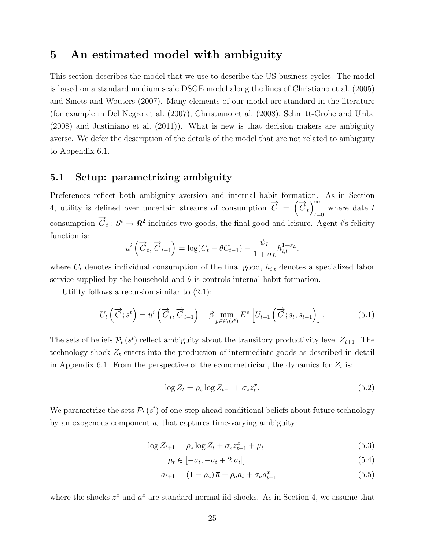## 5 An estimated model with ambiguity

This section describes the model that we use to describe the US business cycles. The model is based on a standard medium scale DSGE model along the lines of Christiano et al. (2005) and Smets and Wouters (2007). Many elements of our model are standard in the literature (for example in Del Negro et al. (2007), Christiano et al. (2008), Schmitt-Grohe and Uribe (2008) and Justiniano et al. (2011)). What is new is that decision makers are ambiguity averse. We defer the description of the details of the model that are not related to ambiguity to Appendix 6.1.

### 5.1 Setup: parametrizing ambiguity

Preferences reflect both ambiguity aversion and internal habit formation. As in Section 4, utility is defined over uncertain streams of consumption  $\vec{C} = (\vec{C}_t)^{\infty}$ , where date t  $t=0$ consumption  $\overrightarrow{C}_t: S^t \to \Re^2$  includes two goods, the final good and leisure. Agent i's felicity function is:

$$
u^{i}\left(\overrightarrow{C}_{t},\overrightarrow{C}_{t-1}\right)=\log(C_{t}-\theta C_{t-1})-\frac{\psi_{L}}{1+\sigma_{L}}h_{i,t}^{1+\sigma_{L}}.
$$

where  $C_t$  denotes individual consumption of the final good,  $h_{i,t}$  denotes a specialized labor service supplied by the household and  $\theta$  is controls internal habit formation.

Utility follows a recursion similar to (2.1):

$$
U_t\left(\overrightarrow{C};s^t\right) = u^i\left(\overrightarrow{C}_t,\overrightarrow{C}_{t-1}\right) + \beta \min_{p \in \mathcal{P}_t(s^t)} E^p\left[U_{t+1}\left(\overrightarrow{C};s_t,s_{t+1}\right)\right],\tag{5.1}
$$

The sets of beliefs  $\mathcal{P}_t(s^t)$  reflect ambiguity about the transitory productivity level  $Z_{t+1}$ . The technology shock  $Z_t$  enters into the production of intermediate goods as described in detail in Appendix 6.1. From the perspective of the econometrician, the dynamics for  $Z_t$  is:

$$
\log Z_t = \rho_z \log Z_{t-1} + \sigma_z z_t^x. \tag{5.2}
$$

We parametrize the sets  $\mathcal{P}_t(s^t)$  of one-step ahead conditional beliefs about future technology by an exogenous component  $a_t$  that captures time-varying ambiguity:

$$
\log Z_{t+1} = \rho_z \log Z_t + \sigma_z z_{t+1}^x + \mu_t \tag{5.3}
$$

$$
\mu_t \in [-a_t, -a_t + 2|a_t|] \tag{5.4}
$$

$$
a_{t+1} = (1 - \rho_a)\overline{a} + \rho_a a_t + \sigma_a a_{t+1}^x \tag{5.5}
$$

where the shocks  $z^x$  and  $a^x$  are standard normal iid shocks. As in Section 4, we assume that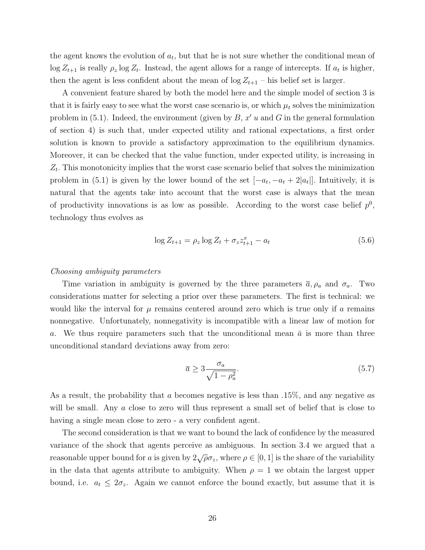the agent knows the evolution of  $a_t$ , but that he is not sure whether the conditional mean of  $\log Z_{t+1}$  is really  $\rho_z \log Z_t$ . Instead, the agent allows for a range of intercepts. If  $a_t$  is higher, then the agent is less confident about the mean of  $\log Z_{t+1}$  – his belief set is larger.

A convenient feature shared by both the model here and the simple model of section 3 is that it is fairly easy to see what the worst case scenario is, or which  $\mu_t$  solves the minimization problem in  $(5.1)$ . Indeed, the environment (given by  $B, x' u$  and G in the general formulation of section 4) is such that, under expected utility and rational expectations, a first order solution is known to provide a satisfactory approximation to the equilibrium dynamics. Moreover, it can be checked that the value function, under expected utility, is increasing in  $Z_t$ . This monotonicity implies that the worst case scenario belief that solves the minimization problem in (5.1) is given by the lower bound of the set  $[-a_t, -a_t + 2|a_t]$ . Intuitively, it is natural that the agents take into account that the worst case is always that the mean of productivity innovations is as low as possible. According to the worst case belief  $p^0$ , technology thus evolves as

$$
\log Z_{t+1} = \rho_z \log Z_t + \sigma_z z_{t+1}^x - a_t \tag{5.6}
$$

### Choosing ambiguity parameters

Time variation in ambiguity is governed by the three parameters  $\bar{a}$ ,  $\rho_a$  and  $\sigma_a$ . Two considerations matter for selecting a prior over these parameters. The first is technical: we would like the interval for  $\mu$  remains centered around zero which is true only if a remains nonnegative. Unfortunately, nonnegativity is incompatible with a linear law of motion for a. We thus require parameters such that the unconditional mean  $\bar{a}$  is more than three unconditional standard deviations away from zero:

$$
\overline{a} \ge 3 \frac{\sigma_a}{\sqrt{1 - \rho_a^2}}.\tag{5.7}
$$

As a result, the probability that a becomes negative is less than .15%, and any negative as will be small. Any a close to zero will thus represent a small set of belief that is close to having a single mean close to zero - a very confident agent.

The second consideration is that we want to bound the lack of confidence by the measured variance of the shock that agents perceive as ambiguous. In section 3.4 we argued that a reasonable upper bound for a is given by  $2\sqrt{\rho}\sigma_z$ , where  $\rho \in [0,1]$  is the share of the variability in the data that agents attribute to ambiguity. When  $\rho = 1$  we obtain the largest upper bound, i.e.  $a_t \leq 2\sigma_z$ . Again we cannot enforce the bound exactly, but assume that it is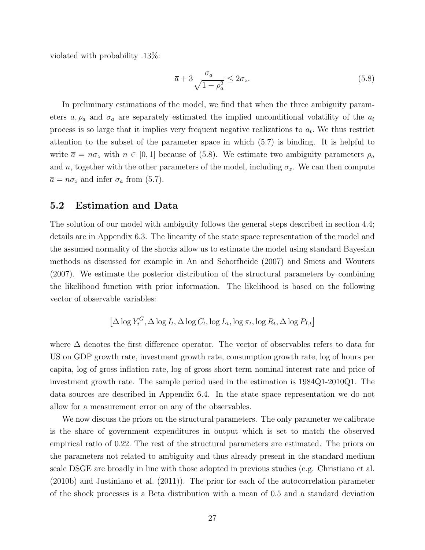violated with probability .13%:

$$
\overline{a} + 3 \frac{\sigma_a}{\sqrt{1 - \rho_a^2}} \le 2\sigma_z.
$$
\n(5.8)

In preliminary estimations of the model, we find that when the three ambiguity parameters  $\bar{a}, \rho_a$  and  $\sigma_a$  are separately estimated the implied unconditional volatility of the  $a_t$ process is so large that it implies very frequent negative realizations to  $a_t$ . We thus restrict attention to the subset of the parameter space in which (5.7) is binding. It is helpful to write  $\bar{a} = n\sigma_z$  with  $n \in [0, 1]$  because of (5.8). We estimate two ambiguity parameters  $\rho_a$ and n, together with the other parameters of the model, including  $\sigma_z$ . We can then compute  $\overline{a} = n\sigma_z$  and infer  $\sigma_a$  from (5.7).

### 5.2 Estimation and Data

The solution of our model with ambiguity follows the general steps described in section 4.4; details are in Appendix 6.3. The linearity of the state space representation of the model and the assumed normality of the shocks allow us to estimate the model using standard Bayesian methods as discussed for example in An and Schorfheide (2007) and Smets and Wouters (2007). We estimate the posterior distribution of the structural parameters by combining the likelihood function with prior information. The likelihood is based on the following vector of observable variables:

$$
\left[\Delta \log Y_t^G, \Delta \log I_t, \Delta \log C_t, \log L_t, \log \pi_t, \log R_t, \Delta \log P_{I,t}\right]
$$

where ∆ denotes the first difference operator. The vector of observables refers to data for US on GDP growth rate, investment growth rate, consumption growth rate, log of hours per capita, log of gross inflation rate, log of gross short term nominal interest rate and price of investment growth rate. The sample period used in the estimation is 1984Q1-2010Q1. The data sources are described in Appendix 6.4. In the state space representation we do not allow for a measurement error on any of the observables.

We now discuss the priors on the structural parameters. The only parameter we calibrate is the share of government expenditures in output which is set to match the observed empirical ratio of 0.22. The rest of the structural parameters are estimated. The priors on the parameters not related to ambiguity and thus already present in the standard medium scale DSGE are broadly in line with those adopted in previous studies (e.g. Christiano et al. (2010b) and Justiniano et al. (2011)). The prior for each of the autocorrelation parameter of the shock processes is a Beta distribution with a mean of 0.5 and a standard deviation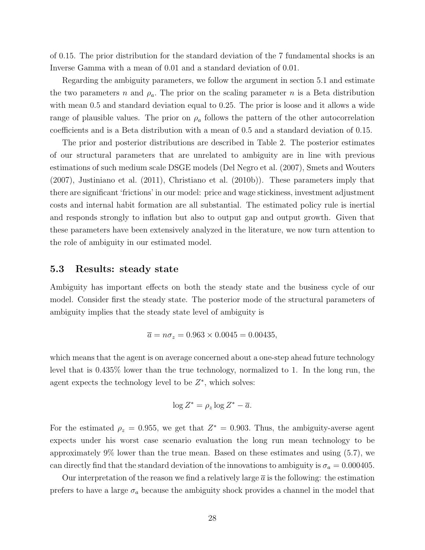of 0.15. The prior distribution for the standard deviation of the 7 fundamental shocks is an Inverse Gamma with a mean of 0.01 and a standard deviation of 0.01.

Regarding the ambiguity parameters, we follow the argument in section 5.1 and estimate the two parameters n and  $\rho_a$ . The prior on the scaling parameter n is a Beta distribution with mean 0.5 and standard deviation equal to 0.25. The prior is loose and it allows a wide range of plausible values. The prior on  $\rho_a$  follows the pattern of the other autocorrelation coefficients and is a Beta distribution with a mean of 0.5 and a standard deviation of 0.15.

The prior and posterior distributions are described in Table 2. The posterior estimates of our structural parameters that are unrelated to ambiguity are in line with previous estimations of such medium scale DSGE models (Del Negro et al. (2007), Smets and Wouters  $(2007)$ , Justiniano et al.  $(2011)$ , Christiano et al.  $(2010b)$ ). These parameters imply that there are significant 'frictions' in our model: price and wage stickiness, investment adjustment costs and internal habit formation are all substantial. The estimated policy rule is inertial and responds strongly to inflation but also to output gap and output growth. Given that these parameters have been extensively analyzed in the literature, we now turn attention to the role of ambiguity in our estimated model.

### 5.3 Results: steady state

Ambiguity has important effects on both the steady state and the business cycle of our model. Consider first the steady state. The posterior mode of the structural parameters of ambiguity implies that the steady state level of ambiguity is

$$
\overline{a} = n\sigma_z = 0.963 \times 0.0045 = 0.00435,
$$

which means that the agent is on average concerned about a one-step ahead future technology level that is 0.435% lower than the true technology, normalized to 1. In the long run, the agent expects the technology level to be  $Z^*$ , which solves:

$$
\log Z^* = \rho_z \log Z^* - \overline{a}.
$$

For the estimated  $\rho_z = 0.955$ , we get that  $Z^* = 0.903$ . Thus, the ambiguity-averse agent expects under his worst case scenario evaluation the long run mean technology to be approximately 9% lower than the true mean. Based on these estimates and using (5.7), we can directly find that the standard deviation of the innovations to ambiguity is  $\sigma_a = 0.000405$ .

Our interpretation of the reason we find a relatively large  $\bar{a}$  is the following: the estimation prefers to have a large  $\sigma_a$  because the ambiguity shock provides a channel in the model that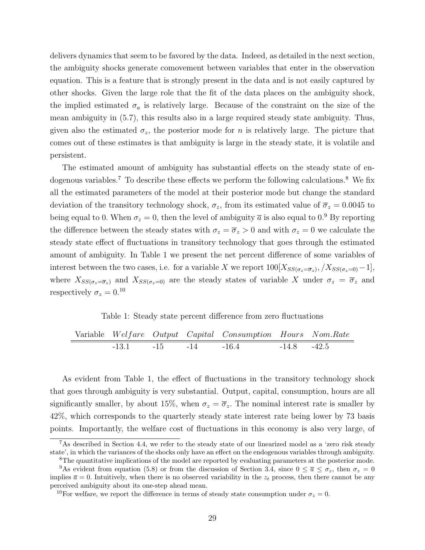delivers dynamics that seem to be favored by the data. Indeed, as detailed in the next section, the ambiguity shocks generate comovement between variables that enter in the observation equation. This is a feature that is strongly present in the data and is not easily captured by other shocks. Given the large role that the fit of the data places on the ambiguity shock, the implied estimated  $\sigma_a$  is relatively large. Because of the constraint on the size of the mean ambiguity in (5.7), this results also in a large required steady state ambiguity. Thus, given also the estimated  $\sigma_z$ , the posterior mode for n is relatively large. The picture that comes out of these estimates is that ambiguity is large in the steady state, it is volatile and persistent.

The estimated amount of ambiguity has substantial effects on the steady state of endogenous variables.<sup>7</sup> To describe these effects we perform the following calculations.<sup>8</sup> We fix all the estimated parameters of the model at their posterior mode but change the standard deviation of the transitory technology shock,  $\sigma_z$ , from its estimated value of  $\overline{\sigma}_z = 0.0045$  to being equal to 0. When  $\sigma_z = 0$ , then the level of ambiguity  $\bar{a}$  is also equal to 0.<sup>9</sup> By reporting the difference between the steady states with  $\sigma_z = \overline{\sigma}_z > 0$  and with  $\sigma_z = 0$  we calculate the steady state effect of fluctuations in transitory technology that goes through the estimated amount of ambiguity. In Table 1 we present the net percent difference of some variables of interest between the two cases, i.e. for a variable X we report  $100[X_{SS(\sigma_z=\overline{\sigma}_z)}, X_{SS(\sigma_z=0)}-1],$ where  $X_{SS(\sigma_z=\overline{\sigma}_z)}$  and  $X_{SS(\sigma_z=0)}$  are the steady states of variable X under  $\sigma_z = \overline{\sigma}_z$  and respectively  $\sigma_z = 0.10$ 

Table 1: Steady state percent difference from zero fluctuations

|                             |  | Variable Welfare Output Capital Consumption Hours Nom.Rate |                 |  |
|-----------------------------|--|------------------------------------------------------------|-----------------|--|
| $-13.1$ $-15$ $-14$ $-16.4$ |  |                                                            | $-14.8$ $-42.5$ |  |

 $=$ 

As evident from Table 1, the effect of fluctuations in the transitory technology shock that goes through ambiguity is very substantial. Output, capital, consumption, hours are all significantly smaller, by about 15%, when  $\sigma_z = \overline{\sigma}_z$ . The nominal interest rate is smaller by 42%, which corresponds to the quarterly steady state interest rate being lower by 73 basis points. Importantly, the welfare cost of fluctuations in this economy is also very large, of

<sup>&</sup>lt;sup>7</sup>As described in Section 4.4, we refer to the steady state of our linearized model as a 'zero risk steady state', in which the variances of the shocks only have an effect on the endogenous variables through ambiguity.

<sup>8</sup>The quantitative implications of the model are reported by evaluating parameters at the posterior mode.

<sup>&</sup>lt;sup>9</sup>As evident from equation (5.8) or from the discussion of Section 3.4, since  $0 \leq \bar{a} \leq \sigma_z$ , then  $\sigma_z = 0$ implies  $\bar{a} = 0$ . Intuitively, when there is no observed variability in the  $z_t$  process, then there cannot be any perceived ambiguity about its one-step ahead mean.

<sup>&</sup>lt;sup>10</sup>For welfare, we report the difference in terms of steady state consumption under  $\sigma_z = 0$ .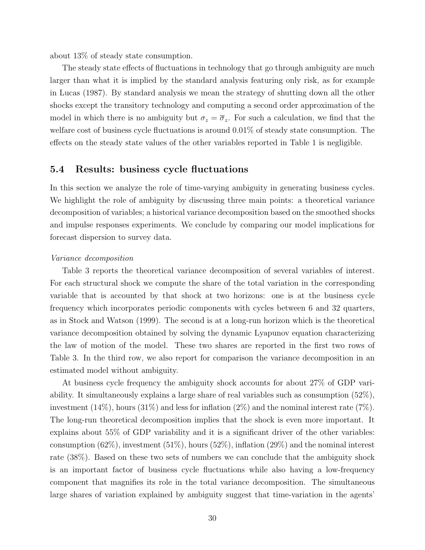about 13% of steady state consumption.

The steady state effects of fluctuations in technology that go through ambiguity are much larger than what it is implied by the standard analysis featuring only risk, as for example in Lucas (1987). By standard analysis we mean the strategy of shutting down all the other shocks except the transitory technology and computing a second order approximation of the model in which there is no ambiguity but  $\sigma_z = \overline{\sigma}_z$ . For such a calculation, we find that the welfare cost of business cycle fluctuations is around 0.01% of steady state consumption. The effects on the steady state values of the other variables reported in Table 1 is negligible.

## 5.4 Results: business cycle fluctuations

In this section we analyze the role of time-varying ambiguity in generating business cycles. We highlight the role of ambiguity by discussing three main points: a theoretical variance decomposition of variables; a historical variance decomposition based on the smoothed shocks and impulse responses experiments. We conclude by comparing our model implications for forecast dispersion to survey data.

### Variance decomposition

Table 3 reports the theoretical variance decomposition of several variables of interest. For each structural shock we compute the share of the total variation in the corresponding variable that is accounted by that shock at two horizons: one is at the business cycle frequency which incorporates periodic components with cycles between 6 and 32 quarters, as in Stock and Watson (1999). The second is at a long-run horizon which is the theoretical variance decomposition obtained by solving the dynamic Lyapunov equation characterizing the law of motion of the model. These two shares are reported in the first two rows of Table 3. In the third row, we also report for comparison the variance decomposition in an estimated model without ambiguity.

At business cycle frequency the ambiguity shock accounts for about 27% of GDP variability. It simultaneously explains a large share of real variables such as consumption (52%), investment  $(14\%)$ , hours  $(31\%)$  and less for inflation  $(2\%)$  and the nominal interest rate  $(7\%)$ . The long-run theoretical decomposition implies that the shock is even more important. It explains about 55% of GDP variability and it is a significant driver of the other variables: consumption  $(62\%)$ , investment  $(51\%)$ , hours  $(52\%)$ , inflation  $(29\%)$  and the nominal interest rate (38%). Based on these two sets of numbers we can conclude that the ambiguity shock is an important factor of business cycle fluctuations while also having a low-frequency component that magnifies its role in the total variance decomposition. The simultaneous large shares of variation explained by ambiguity suggest that time-variation in the agents'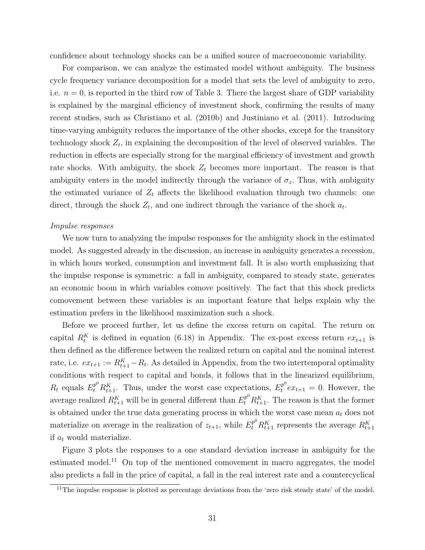confidence about technology shocks can be a unified source of macroeconomic variability.

For comparison, we can analyze the estimated model without ambiguity. The business cycle frequency variance decomposition for a model that sets the level of ambiguity to zero, i.e.  $n = 0$ , is reported in the third row of Table 3. There the largest share of GDP variability is explained by the marginal efficiency of investment shock, confirming the results of many recent studies, such as Christiano et al. (2010b) and Justiniano et al. (2011). Introducing time-varying ambiguity reduces the importance of the other shocks, except for the transitory technology shock  $Z_t$ , in explaining the decomposition of the level of observed variables. The reduction in effects are especially strong for the marginal efficiency of investment and growth rate shocks. With ambiguity, the shock  $Z_t$  becomes more important. The reason is that ambiguity enters in the model indirectly through the variance of  $\sigma_z$ . Thus, with ambiguity the estimated variance of  $Z_t$  affects the likelihood evaluation through two channels: one direct, through the shock  $Z_t$ , and one indirect through the variance of the shock  $a_t$ .

### Impulse responses

We now turn to analyzing the impulse responses for the ambiguity shock in the estimated model. As suggested already in the discussion, an increase in ambiguity generates a recession, in which hours worked, consumption and investment fall. It is also worth emphasizing that the impulse response is symmetric: a fall in ambiguity, compared to steady state, generates an economic boom in which variables comove positively. The fact that this shock predicts comovement between these variables is an important feature that helps explain why the estimation prefers in the likelihood maximization such a shock.

Before we proceed further, let us define the excess return on capital. The return on capital  $R_t^K$  is defined in equation (6.18) in Appendix. The ex-post excess return  $ex_{t+1}$  is then defined as the difference between the realized return on capital and the nominal interest rate, i.e.  $ex_{t+1} := R_{t+1}^K - R_t$ . As detailed in Appendix, from the two intertemporal optimality conditions with respect to capital and bonds, it follows that in the linearized equilibrium,  $R_t$  equals  $E_t^{p^0} R_{t+1}^K$ . Thus, under the worst case expectations,  $E_t^{p^0} e_{t+1} = 0$ . However, the average realized  $R_{t+1}^K$  will be in general different than  $E_t^{p^0} R_{t+1}^K$ . The reason is that the former is obtained under the true data generating process in which the worst case mean  $a_t$  does not materialize on average in the realization of  $z_{t+1}$ , while  $E_t^{p^0} R_{t+1}^K$  represents the average  $R_{t+1}^K$ if  $a_t$  would materialize.

Figure 3 plots the responses to a one standard deviation increase in ambiguity for the estimated model.<sup>11</sup> On top of the mentioned comovement in macro aggregates, the model also predicts a fall in the price of capital, a fall in the real interest rate and a countercyclical

 $\frac{11}{11}$ The impulse response is plotted as percentage deviations from the 'zero risk steady state' of the model.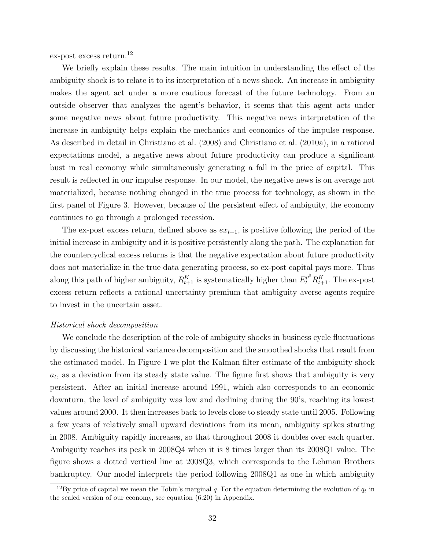ex-post excess return.<sup>12</sup>

We briefly explain these results. The main intuition in understanding the effect of the ambiguity shock is to relate it to its interpretation of a news shock. An increase in ambiguity makes the agent act under a more cautious forecast of the future technology. From an outside observer that analyzes the agent's behavior, it seems that this agent acts under some negative news about future productivity. This negative news interpretation of the increase in ambiguity helps explain the mechanics and economics of the impulse response. As described in detail in Christiano et al. (2008) and Christiano et al. (2010a), in a rational expectations model, a negative news about future productivity can produce a significant bust in real economy while simultaneously generating a fall in the price of capital. This result is reflected in our impulse response. In our model, the negative news is on average not materialized, because nothing changed in the true process for technology, as shown in the first panel of Figure 3. However, because of the persistent effect of ambiguity, the economy continues to go through a prolonged recession.

The ex-post excess return, defined above as  $ex_{t+1}$ , is positive following the period of the initial increase in ambiguity and it is positive persistently along the path. The explanation for the countercyclical excess returns is that the negative expectation about future productivity does not materialize in the true data generating process, so ex-post capital pays more. Thus along this path of higher ambiguity,  $R_{t+1}^K$  is systematically higher than  $E_t^{p^0} R_{t+1}^K$ . The ex-post excess return reflects a rational uncertainty premium that ambiguity averse agents require to invest in the uncertain asset.

### Historical shock decomposition

We conclude the description of the role of ambiguity shocks in business cycle fluctuations by discussing the historical variance decomposition and the smoothed shocks that result from the estimated model. In Figure 1 we plot the Kalman filter estimate of the ambiguity shock  $a_t$ , as a deviation from its steady state value. The figure first shows that ambiguity is very persistent. After an initial increase around 1991, which also corresponds to an economic downturn, the level of ambiguity was low and declining during the 90's, reaching its lowest values around 2000. It then increases back to levels close to steady state until 2005. Following a few years of relatively small upward deviations from its mean, ambiguity spikes starting in 2008. Ambiguity rapidly increases, so that throughout 2008 it doubles over each quarter. Ambiguity reaches its peak in 2008Q4 when it is 8 times larger than its 2008Q1 value. The figure shows a dotted vertical line at 2008Q3, which corresponds to the Lehman Brothers bankruptcy. Our model interprets the period following 2008Q1 as one in which ambiguity

<sup>&</sup>lt;sup>12</sup>By price of capital we mean the Tobin's marginal q. For the equation determining the evolution of  $q_t$  in the scaled version of our economy, see equation (6.20) in Appendix.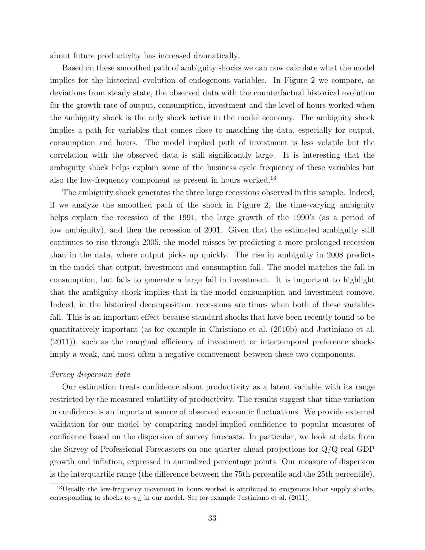about future productivity has increased dramatically.

Based on these smoothed path of ambiguity shocks we can now calculate what the model implies for the historical evolution of endogenous variables. In Figure 2 we compare, as deviations from steady state, the observed data with the counterfactual historical evolution for the growth rate of output, consumption, investment and the level of hours worked when the ambiguity shock is the only shock active in the model economy. The ambiguity shock implies a path for variables that comes close to matching the data, especially for output, consumption and hours. The model implied path of investment is less volatile but the correlation with the observed data is still significantly large. It is interesting that the ambiguity shock helps explain some of the business cycle frequency of these variables but also the low-frequency component as present in hours worked.<sup>13</sup>

The ambiguity shock generates the three large recessions observed in this sample. Indeed, if we analyze the smoothed path of the shock in Figure 2, the time-varying ambiguity helps explain the recession of the 1991, the large growth of the 1990's (as a period of low ambiguity), and then the recession of 2001. Given that the estimated ambiguity still continues to rise through 2005, the model misses by predicting a more prolonged recession than in the data, where output picks up quickly. The rise in ambiguity in 2008 predicts in the model that output, investment and consumption fall. The model matches the fall in consumption, but fails to generate a large fall in investment. It is important to highlight that the ambiguity shock implies that in the model consumption and investment comove. Indeed, in the historical decomposition, recessions are times when both of these variables fall. This is an important effect because standard shocks that have been recently found to be quantitatively important (as for example in Christiano et al. (2010b) and Justiniano et al. (2011)), such as the marginal efficiency of investment or intertemporal preference shocks imply a weak, and most often a negative comovement between these two components.

### Survey dispersion data

Our estimation treats confidence about productivity as a latent variable with its range restricted by the measured volatility of productivity. The results suggest that time variation in confidence is an important source of observed economic fluctuations. We provide external validation for our model by comparing model-implied confidence to popular measures of confidence based on the dispersion of survey forecasts. In particular, we look at data from the Survey of Professional Forecasters on one quarter ahead projections for Q/Q real GDP growth and inflation, expressed in annualized percentage points. Our measure of dispersion is the interquartile range (the difference between the 75th percentile and the 25th percentile).

 $13$ Usually the low-frequency movement in hours worked is attributed to exogenous labor supply shocks, corresponding to shocks to  $\psi_L$  in our model. See for example Justiniano et al. (2011).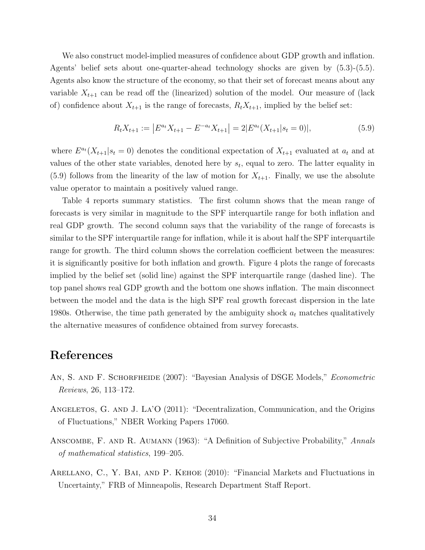We also construct model-implied measures of confidence about GDP growth and inflation. Agents' belief sets about one-quarter-ahead technology shocks are given by (5.3)-(5.5). Agents also know the structure of the economy, so that their set of forecast means about any variable  $X_{t+1}$  can be read off the (linearized) solution of the model. Our measure of (lack of) confidence about  $X_{t+1}$  is the range of forecasts,  $R_t X_{t+1}$ , implied by the belief set:

$$
R_t X_{t+1} := |E^{a_t} X_{t+1} - E^{-a_t} X_{t+1}| = 2|E^{a_t}(X_{t+1}|s_t = 0)|,
$$
\n(5.9)

where  $E^{a_t}(X_{t+1}|s_t=0)$  denotes the conditional expectation of  $X_{t+1}$  evaluated at  $a_t$  and at values of the other state variables, denoted here by  $s_t$ , equal to zero. The latter equality in  $(5.9)$  follows from the linearity of the law of motion for  $X_{t+1}$ . Finally, we use the absolute value operator to maintain a positively valued range.

Table 4 reports summary statistics. The first column shows that the mean range of forecasts is very similar in magnitude to the SPF interquartile range for both inflation and real GDP growth. The second column says that the variability of the range of forecasts is similar to the SPF interquartile range for inflation, while it is about half the SPF interquartile range for growth. The third column shows the correlation coefficient between the measures: it is significantly positive for both inflation and growth. Figure 4 plots the range of forecasts implied by the belief set (solid line) against the SPF interquartile range (dashed line). The top panel shows real GDP growth and the bottom one shows inflation. The main disconnect between the model and the data is the high SPF real growth forecast dispersion in the late 1980s. Otherwise, the time path generated by the ambiguity shock  $a_t$  matches qualitatively the alternative measures of confidence obtained from survey forecasts.

## References

- AN, S. AND F. SCHORFHEIDE (2007): "Bayesian Analysis of DSGE Models," *Econometric* Reviews, 26, 113–172.
- ANGELETOS, G. AND J. LA'O (2011): "Decentralization, Communication, and the Origins of Fluctuations," NBER Working Papers 17060.
- ANSCOMBE, F. AND R. AUMANN (1963): "A Definition of Subjective Probability," Annals of mathematical statistics, 199–205.
- Arellano, C., Y. Bai, and P. Kehoe (2010): "Financial Markets and Fluctuations in Uncertainty," FRB of Minneapolis, Research Department Staff Report.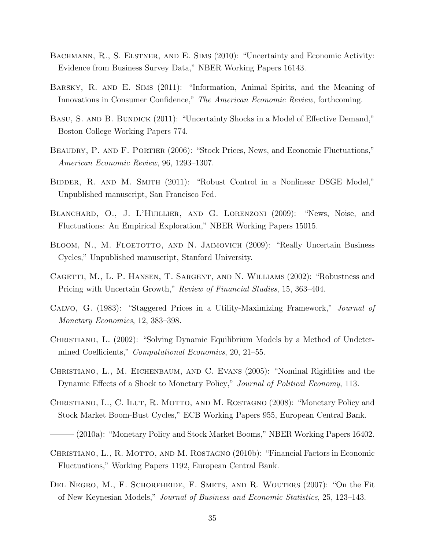- BACHMANN, R., S. ELSTNER, AND E. SIMS (2010): "Uncertainty and Economic Activity: Evidence from Business Survey Data," NBER Working Papers 16143.
- Barsky, R. and E. Sims (2011): "Information, Animal Spirits, and the Meaning of Innovations in Consumer Confidence," The American Economic Review, forthcoming.
- BASU, S. AND B. BUNDICK (2011): "Uncertainty Shocks in a Model of Effective Demand," Boston College Working Papers 774.
- BEAUDRY, P. AND F. PORTIER (2006): "Stock Prices, News, and Economic Fluctuations," American Economic Review, 96, 1293–1307.
- Bidder, R. and M. Smith (2011): "Robust Control in a Nonlinear DSGE Model," Unpublished manuscript, San Francisco Fed.
- Blanchard, O., J. L'Huillier, and G. Lorenzoni (2009): "News, Noise, and Fluctuations: An Empirical Exploration," NBER Working Papers 15015.
- BLOOM, N., M. FLOETOTTO, AND N. JAIMOVICH (2009): "Really Uncertain Business Cycles," Unpublished manuscript, Stanford University.
- Cagetti, M., L. P. Hansen, T. Sargent, and N. Williams (2002): "Robustness and Pricing with Uncertain Growth," Review of Financial Studies, 15, 363–404.
- Calvo, G. (1983): "Staggered Prices in a Utility-Maximizing Framework," Journal of Monetary Economics, 12, 383–398.
- CHRISTIANO, L. (2002): "Solving Dynamic Equilibrium Models by a Method of Undetermined Coefficients," *Computational Economics*, 20, 21–55.
- Christiano, L., M. Eichenbaum, and C. Evans (2005): "Nominal Rigidities and the Dynamic Effects of a Shock to Monetary Policy," Journal of Political Economy, 113.
- CHRISTIANO, L., C. ILUT, R. MOTTO, AND M. ROSTAGNO (2008): "Monetary Policy and Stock Market Boom-Bust Cycles," ECB Working Papers 955, European Central Bank.
- ——— (2010a): "Monetary Policy and Stock Market Booms," NBER Working Papers 16402.
- CHRISTIANO, L., R. MOTTO, AND M. ROSTAGNO (2010b): "Financial Factors in Economic Fluctuations," Working Papers 1192, European Central Bank.
- Del Negro, M., F. Schorfheide, F. Smets, and R. Wouters (2007): "On the Fit of New Keynesian Models," Journal of Business and Economic Statistics, 25, 123–143.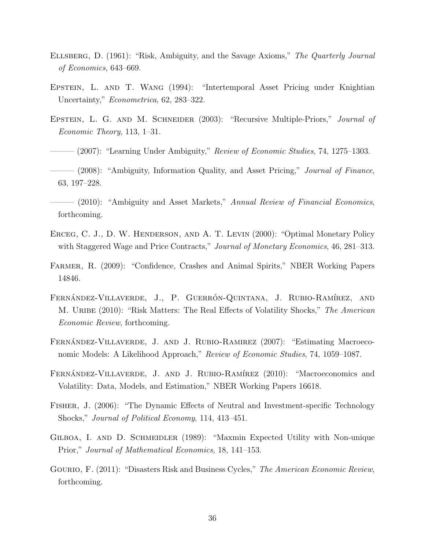- Ellsberg, D. (1961): "Risk, Ambiguity, and the Savage Axioms," The Quarterly Journal of Economics, 643–669.
- EPSTEIN, L. AND T. WANG (1994): "Intertemporal Asset Pricing under Knightian Uncertainty," *Econometrica*, 62, 283–322.
- Epstein, L. G. and M. Schneider (2003): "Recursive Multiple-Priors," Journal of Economic Theory, 113, 1–31.
- $-(2007)$ : "Learning Under Ambiguity," Review of Economic Studies, 74, 1275–1303.

 $-$  (2008): "Ambiguity, Information Quality, and Asset Pricing," *Journal of Finance*, 63, 197–228.

- (2010): "Ambiguity and Asset Markets," Annual Review of Financial Economics, forthcoming.
- ERCEG, C. J., D. W. HENDERSON, AND A. T. LEVIN (2000): "Optimal Monetary Policy with Staggered Wage and Price Contracts," Journal of Monetary Economics, 46, 281–313.
- Farmer, R. (2009): "Confidence, Crashes and Animal Spirits," NBER Working Papers 14846.
- FERNÁNDEZ-VILLAVERDE, J., P. GUERRÓN-QUINTANA, J. RUBIO-RAMÍREZ, AND M. URIBE (2010): "Risk Matters: The Real Effects of Volatility Shocks," The American Economic Review, forthcoming.
- FERNÁNDEZ-VILLAVERDE, J. AND J. RUBIO-RAMIREZ (2007): "Estimating Macroeconomic Models: A Likelihood Approach," Review of Economic Studies, 74, 1059–1087.
- FERNÁNDEZ-VILLAVERDE, J. AND J. RUBIO-RAMÍREZ (2010): "Macroeconomics and Volatility: Data, Models, and Estimation," NBER Working Papers 16618.
- Fisher, J. (2006): "The Dynamic Effects of Neutral and Investment-specific Technology Shocks," Journal of Political Economy, 114, 413–451.
- GILBOA, I. AND D. SCHMEIDLER (1989): "Maxmin Expected Utility with Non-unique Prior," Journal of Mathematical Economics, 18, 141–153.
- Gourio, F. (2011): "Disasters Risk and Business Cycles," The American Economic Review, forthcoming.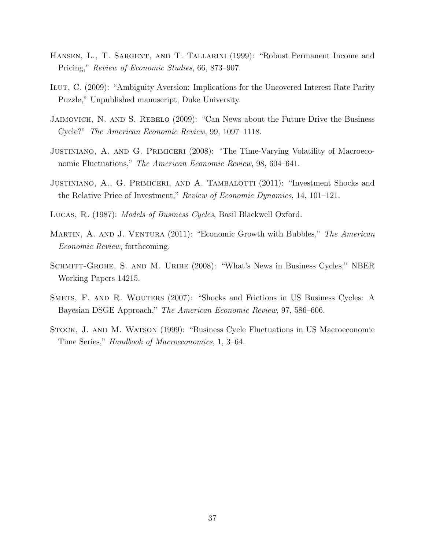- Hansen, L., T. Sargent, and T. Tallarini (1999): "Robust Permanent Income and Pricing," Review of Economic Studies, 66, 873–907.
- ILUT, C. (2009): "Ambiguity Aversion: Implications for the Uncovered Interest Rate Parity Puzzle," Unpublished manuscript, Duke University.
- Jaimovich, N. and S. Rebelo (2009): "Can News about the Future Drive the Business Cycle?" The American Economic Review, 99, 1097–1118.
- Justiniano, A. and G. Primiceri (2008): "The Time-Varying Volatility of Macroeconomic Fluctuations," The American Economic Review, 98, 604–641.
- JUSTINIANO, A., G. PRIMICERI, AND A. TAMBALOTTI (2011): "Investment Shocks and the Relative Price of Investment," Review of Economic Dynamics, 14, 101–121.
- Lucas, R. (1987): Models of Business Cycles, Basil Blackwell Oxford.
- MARTIN, A. AND J. VENTURA (2011): "Economic Growth with Bubbles," The American Economic Review, forthcoming.
- SCHMITT-GROHE, S. AND M. URIBE (2008): "What's News in Business Cycles," NBER Working Papers 14215.
- SMETS, F. AND R. WOUTERS (2007): "Shocks and Frictions in US Business Cycles: A Bayesian DSGE Approach," The American Economic Review, 97, 586–606.
- Stock, J. and M. Watson (1999): "Business Cycle Fluctuations in US Macroeconomic Time Series," Handbook of Macroeconomics, 1, 3–64.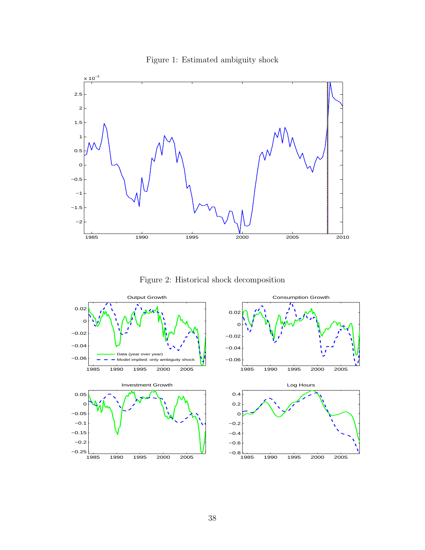

Figure 1: Estimated ambiguity shock

Figure 2: Historical shock decomposition

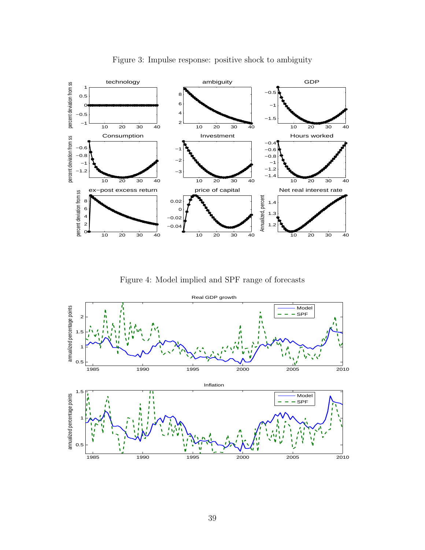

Figure 3: Impulse response: positive shock to ambiguity

Figure 4: Model implied and SPF range of forecasts

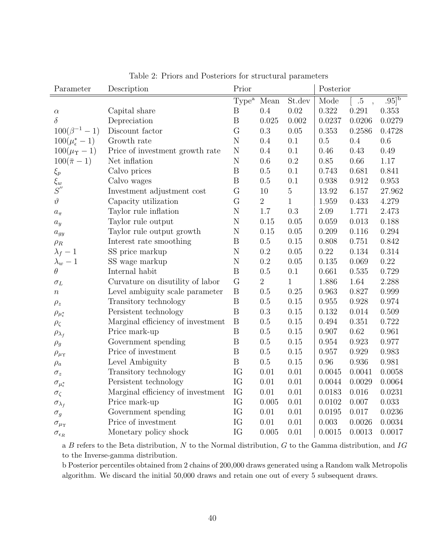| Parameter                      | Description                       | Prior             |                |              |        | Posterior   |                     |  |
|--------------------------------|-----------------------------------|-------------------|----------------|--------------|--------|-------------|---------------------|--|
|                                |                                   | Type <sup>a</sup> | Mean           | St.dev       | Mode   | $.5\,$      | $.95]$ <sup>b</sup> |  |
| $\alpha$                       | Capital share                     | $\boldsymbol{B}$  | 0.4            | 0.02         | 0.322  | 0.291       | 0.353               |  |
| $\delta$                       | Depreciation                      | $\overline{B}$    | 0.025          | 0.002        | 0.0237 | 0.0206      | 0.0279              |  |
| $100(\beta^{-1} - 1)$          | Discount factor                   | G                 | 0.3            | 0.05         | 0.353  | 0.2586      | 0.4728              |  |
| $100(\mu_{\epsilon}^{*}-1)$    | Growth rate                       | $\overline{N}$    | 0.4            | $0.1\,$      | 0.5    | $0.4\,$     | $0.6\,$             |  |
| $100(\mu_{\Upsilon}-1)$        | Price of investment growth rate   | ${\rm N}$         | 0.4            | 0.1          | 0.46   | 0.43        | 0.49                |  |
| $100(\bar{\pi}-1)$             | Net inflation                     | $\mathbf N$       | 0.6            | $\rm 0.2$    | 0.85   | $0.66\,$    | $1.17\,$            |  |
| $\xi_p$                        | Calvo prices                      | $\, {\bf B}$      | 0.5            | 0.1          | 0.743  | 0.681       | 0.841               |  |
| $\overline{\xi_w}$<br>$S^{''}$ | Calvo wages                       | $\overline{B}$    | 0.5            | 0.1          | 0.938  | $\,0.912\,$ | 0.953               |  |
|                                | Investment adjustment cost        | G                 | 10             | $\mathbf 5$  | 13.92  | 6.157       | 27.962              |  |
| $\vartheta$                    | Capacity utilization              | G                 | $\sqrt{2}$     | $\mathbf{1}$ | 1.959  | 0.433       | 4.279               |  |
| $a_\pi$                        | Taylor rule inflation             | $\rm N$           | 1.7            | $0.3\,$      | 2.09   | 1.771       | 2.473               |  |
| $a_y$                          | Taylor rule output                | $\rm N$           | 0.15           | 0.05         | 0.059  | 0.013       | 0.188               |  |
| $a_{gy}$                       | Taylor rule output growth         | N                 | 0.15           | 0.05         | 0.209  | 0.116       | 0.294               |  |
| $\rho_R$                       | Interest rate smoothing           | $\boldsymbol{B}$  | $0.5\,$        | 0.15         | 0.808  | 0.751       | 0.842               |  |
| $\lambda_f-1$                  | SS price markup                   | N                 | 0.2            | 0.05         | 0.22   | 0.134       | 0.314               |  |
| $\lambda_w-1$                  | SS wage markup                    | $\mathbf N$       | 0.2            | 0.05         | 0.135  | 0.069       | $0.22\,$            |  |
| $\theta$                       | Internal habit                    | $\, {\bf B}$      | 0.5            | 0.1          | 0.661  | 0.535       | 0.729               |  |
| $\sigma_L$                     | Curvature on disutility of labor  | G                 | $\overline{2}$ | $\mathbf{1}$ | 1.886  | 1.64        | 2.288               |  |
| $\, n$                         | Level ambiguity scale parameter   | $\, {\bf B}$      | 0.5            | 0.25         | 0.963  | 0.827       | 0.999               |  |
| $\rho_z$                       | Transitory technology             | $\, {\bf B}$      | $0.5\,$        | 0.15         | 0.955  | 0.928       | $0.974\,$           |  |
| $\rho_{\mu_{\epsilon}^*}$      | Persistent technology             | $\, {\bf B}$      | 0.3            | 0.15         | 0.132  | 0.014       | 0.509               |  |
| $\rho_\zeta$                   | Marginal efficiency of investment | $\, {\bf B}$      | 0.5            | 0.15         | 0.494  | 0.351       | 0.722               |  |
| $\rho_{\lambda_f}$             | Price mark-up                     | $\, {\bf B}$      | 0.5            | 0.15         | 0.907  | $0.62\,$    | 0.961               |  |
| $\rho_g$                       | Government spending               | $\boldsymbol{B}$  | 0.5            | 0.15         | 0.954  | 0.923       | 0.977               |  |
| $\rho_{\mu\Upsilon}$           | Price of investment               | $\, {\bf B}$      | 0.5            | 0.15         | 0.957  | 0.929       | 0.983               |  |
| $\rho_a$                       | Level Ambiguity                   | $\, {\bf B}$      | $0.5\,$        | 0.15         | 0.96   | 0.936       | 0.981               |  |
| $\sigma_z$                     | Transitory technology             | IG                | $0.01\,$       | 0.01         | 0.0045 | 0.0041      | 0.0058              |  |
| $\sigma_{\mu_{\epsilon}^*}$    | Persistent technology             | IG                | 0.01           | 0.01         | 0.0044 | 0.0029      | 0.0064              |  |
| $\sigma_{\zeta}$               | Marginal efficiency of investment | IG                | $0.01\,$       | 0.01         | 0.0183 | 0.016       | 0.0231              |  |
| $\sigma_{\lambda_f}$           | Price mark-up                     | IG                | 0.005          | 0.01         | 0.0102 | 0.007       | 0.033               |  |
| $\sigma_g$                     | Government spending               | IG                | 0.01           | 0.01         | 0.0195 | $0.017\,$   | 0.0236              |  |
| $\sigma_{\mu\Upsilon}$         | Price of investment               | IG                | 0.01           | $0.01\,$     | 0.003  | 0.0026      | 0.0034              |  |
| $\sigma_{\epsilon_R}$          | Monetary policy shock             | IG                | 0.005          | 0.01         | 0.0015 | 0.0013      | 0.0017              |  |

|  |  |  |  | Table 2: Priors and Posteriors for structural parameters |
|--|--|--|--|----------------------------------------------------------|
|--|--|--|--|----------------------------------------------------------|

a B refers to the Beta distribution,  $N$  to the Normal distribution,  $G$  to the Gamma distribution, and  $IG$ to the Inverse-gamma distribution.

b Posterior percentiles obtained from 2 chains of 200,000 draws generated using a Random walk Metropolis algorithm. We discard the initial 50,000 draws and retain one out of every 5 subsequent draws.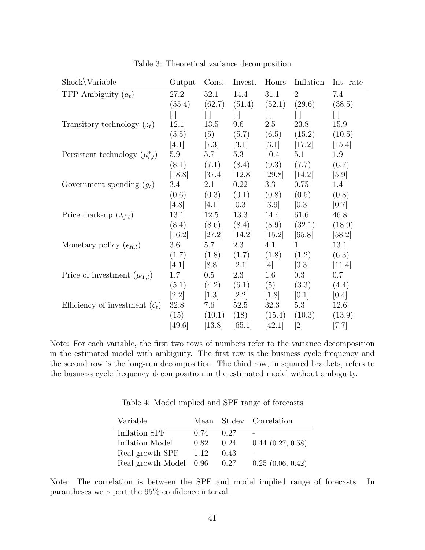| $Show\Vpsilon$                               | Output            | Cons.                   | Invest.             | Hours                   | Inflation              | Int. rate           |
|----------------------------------------------|-------------------|-------------------------|---------------------|-------------------------|------------------------|---------------------|
| TFP Ambiguity $(a_t)$                        | 27.2              | 52.1                    | 14.4                | 31.1                    | $\overline{2}$         | 7.4                 |
|                                              | (55.4)            | (62.7)                  | (51.4)              | (52.1)                  | (29.6)                 | (38.5)              |
|                                              | $\vert$ - $\vert$ | $\lfloor \cdot \rfloor$ | $[\cdot]$           | $\lfloor \cdot \rfloor$ | $\left  \cdot \right $ | $\lfloor - \rfloor$ |
| Transitory technology $(z_t)$                | 12.1              | 13.5                    | 9.6                 | 2.5                     | 23.8                   | 15.9                |
|                                              | (5.5)             | (5)                     | (5.7)               | (6.5)                   | (15.2)                 | (10.5)              |
|                                              | [4.1]             | [7.3]                   | [3.1]               | [3.1]                   | [17.2]                 | $[15.4]$            |
| Persistent technology $(\mu_{\epsilon,t}^*)$ | $5.9\,$           | 5.7                     | 5.3                 | 10.4                    | 5.1                    | 1.9                 |
|                                              | (8.1)             | (7.1)                   | (8.4)               | (9.3)                   | (7.7)                  | (6.7)               |
|                                              | [18.8]            | [37.4]                  | [12.8]              | [29.8]                  | [14.2]                 | $[5.9]$             |
| Government spending $(g_t)$                  | 3.4               | 2.1                     | 0.22                | 3.3                     | 0.75                   | 1.4                 |
|                                              | (0.6)             | (0.3)                   | (0.1)               | (0.8)                   | (0.5)                  | (0.8)               |
|                                              | [4.8]             | [4.1]                   | [0.3]               | [3.9]                   | [0.3]                  | [0.7]               |
| Price mark-up $(\lambda_{f,t})$              | 13.1              | 12.5                    | 13.3                | 14.4                    | 61.6                   | 46.8                |
|                                              | (8.4)             | (8.6)                   | (8.4)               | (8.9)                   | (32.1)                 | (18.9)              |
|                                              | [16.2]            | [27.2]                  | $\left[14.2\right]$ | [15.2]                  | [65.8]                 | $[58.2]$            |
| Monetary policy $(\epsilon_{R,t})$           | 3.6               | 5.7                     | 2.3                 | 4.1                     | $\mathbf{1}$           | 13.1                |
|                                              | (1.7)             | (1.8)                   | (1.7)               | (1.8)                   | (1.2)                  | (6.3)               |
|                                              | [4.1]             | [8.8]                   | [2.1]               | $[4]$                   | [0.3]                  | [11.4]              |
| Price of investment $(\mu_{\Upsilon,t})$     | 1.7               | 0.5                     | 2.3                 | 1.6                     | $0.3\,$                | 0.7                 |
|                                              | (5.1)             | (4.2)                   | (6.1)               | (5)                     | (3.3)                  | (4.4)               |
|                                              | [2.2]             | [1.3]                   | $[2.2]$             | $\left[1.8\right]$      | [0.1]                  | [0.4]               |
| Efficiency of investment $(\zeta_t)$         | 32.8              | 7.6                     | 52.5                | 32.3                    | 5.3                    | 12.6                |
|                                              | (15)              | (10.1)                  | (18)                | (15.4)                  | (10.3)                 | (13.9)              |
|                                              | [49.6]            | [13.8]                  | [65.1]              | [42.1]                  | [2]                    | [7.7]               |

Table 3: Theoretical variance decomposition

Note: For each variable, the first two rows of numbers refer to the variance decomposition in the estimated model with ambiguity. The first row is the business cycle frequency and the second row is the long-run decomposition. The third row, in squared brackets, refers to the business cycle frequency decomposition in the estimated model without ambiguity.

Table 4: Model implied and SPF range of forecasts

| Variable               |      |      | Mean St.dev Correlation |
|------------------------|------|------|-------------------------|
| Inflation SPF          | 0.74 | 0.27 |                         |
| Inflation Model        | 0.82 | 0.24 | 0.44(0.27, 0.58)        |
| Real growth SPF        | 1.12 | 0.43 |                         |
| Real growth Model 0.96 |      | 0.27 | 0.25(0.06, 0.42)        |

Note: The correlation is between the SPF and model implied range of forecasts. In parantheses we report the 95% confidence interval.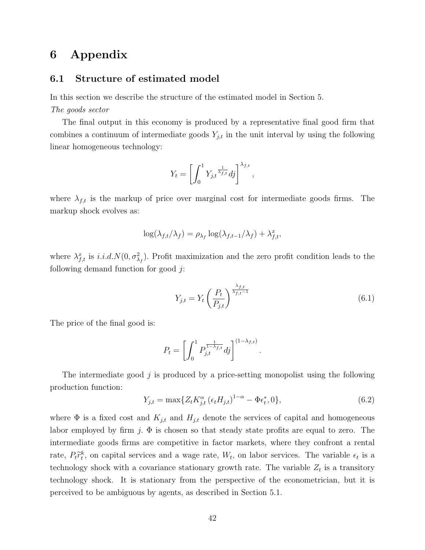## 6 Appendix

### 6.1 Structure of estimated model

In this section we describe the structure of the estimated model in Section 5. The goods sector

The final output in this economy is produced by a representative final good firm that combines a continuum of intermediate goods  $Y_{j,t}$  in the unit interval by using the following linear homogeneous technology:

$$
Y_t = \left[ \int_0^1 Y_{j,t}^{\frac{1}{\lambda_{f,t}}} df \right]^{\lambda_{f,t}},
$$

where  $\lambda_{f,t}$  is the markup of price over marginal cost for intermediate goods firms. The markup shock evolves as:

$$
\log(\lambda_{f,t}/\lambda_f) = \rho_{\lambda_f} \log(\lambda_{f,t-1}/\lambda_f) + \lambda_{f,t}^x,
$$

where  $\lambda_{f,t}^x$  is i.i.d.  $N(0, \sigma_{\lambda_f}^2)$ . Profit maximization and the zero profit condition leads to the following demand function for good  $j$ :

$$
Y_{j,t} = Y_t \left(\frac{P_t}{P_{j,t}}\right)^{\frac{\lambda_{f,t}}{\lambda_{f,t}-1}}
$$
\n(6.1)

The price of the final good is:

$$
P_t = \left[ \int_0^1 P_{j,t}^{\frac{1}{1-\lambda_{f,t}}} dj \right]^{(1-\lambda_{f,t})}
$$

The intermediate good  $j$  is produced by a price-setting monopolist using the following production function:

$$
Y_{j,t} = \max\{Z_t K_{j,t}^{\alpha} (\epsilon_t H_{j,t})^{1-\alpha} - \Phi \epsilon_t^*, 0\},\tag{6.2}
$$

.

where  $\Phi$  is a fixed cost and  $K_{j,t}$  and  $H_{j,t}$  denote the services of capital and homogeneous labor employed by firm j.  $\Phi$  is chosen so that steady state profits are equal to zero. The intermediate goods firms are competitive in factor markets, where they confront a rental rate,  $P_t \tilde{r}_t^k$ , on capital services and a wage rate,  $W_t$ , on labor services. The variable  $\epsilon_t$  is a technology shock with a covariance stationary growth rate. The variable  $Z_t$  is a transitory technology shock. It is stationary from the perspective of the econometrician, but it is perceived to be ambiguous by agents, as described in Section 5.1.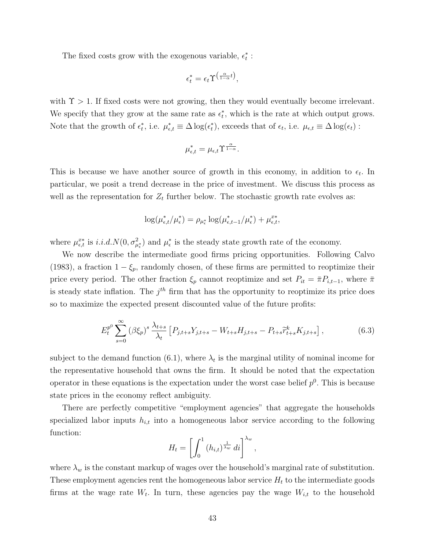The fixed costs grow with the exogenous variable,  $\epsilon^*_t$  :

$$
\epsilon_t^* = \epsilon_t \Upsilon^{\left(\frac{\alpha}{1-\alpha}t\right)},
$$

with  $\Upsilon > 1$ . If fixed costs were not growing, then they would eventually become irrelevant. We specify that they grow at the same rate as  $\epsilon_t^*$ , which is the rate at which output grows. Note that the growth of  $\epsilon_t^*$ , i.e.  $\mu_{\epsilon,t}^* \equiv \Delta \log(\epsilon_t^*)$ , exceeds that of  $\epsilon_t$ , i.e.  $\mu_{\epsilon,t} \equiv \Delta \log(\epsilon_t)$ :

$$
\mu_{\epsilon,t}^* = \mu_{\epsilon,t} \Upsilon^{\frac{\alpha}{1-\alpha}}.
$$

This is because we have another source of growth in this economy, in addition to  $\epsilon_t$ . In particular, we posit a trend decrease in the price of investment. We discuss this process as well as the representation for  $Z_t$  further below. The stochastic growth rate evolves as:

$$
\log(\mu_{\epsilon,t}^*/\mu_{\epsilon}^*) = \rho_{\mu_{\epsilon}^*} \log(\mu_{\epsilon,t-1}^*/\mu_{\epsilon}^*) + \mu_{\epsilon,t}^{xx},
$$

where  $\mu_{\epsilon,t}^{x*}$  is  $i.i.d.N(0, \sigma_{\mu_{\epsilon}}^2)$  and  $\mu_{\epsilon}^*$  is the steady state growth rate of the economy.

We now describe the intermediate good firms pricing opportunities. Following Calvo (1983), a fraction  $1 - \xi_p$ , randomly chosen, of these firms are permitted to reoptimize their price every period. The other fraction  $\xi_p$  cannot reoptimize and set  $P_{it} = \overline{\pi} P_{i,t-1}$ , where  $\overline{\pi}$ is steady state inflation. The  $j<sup>th</sup>$  firm that has the opportunity to reoptimize its price does so to maximize the expected present discounted value of the future profits:

$$
E_t^{p^0} \sum_{s=0}^{\infty} (\beta \xi_p)^s \frac{\lambda_{t+s}}{\lambda_t} \left[ P_{j,t+s} Y_{j,t+s} - W_{t+s} H_{j,t+s} - P_{t+s} \tilde{r}_{t+s}^k K_{j,t+s} \right], \tag{6.3}
$$

subject to the demand function (6.1), where  $\lambda_t$  is the marginal utility of nominal income for the representative household that owns the firm. It should be noted that the expectation operator in these equations is the expectation under the worst case belief  $p^0$ . This is because state prices in the economy reflect ambiguity.

There are perfectly competitive "employment agencies" that aggregate the households specialized labor inputs  $h_{i,t}$  into a homogeneous labor service according to the following function:

$$
H_t = \left[ \int_0^1 (h_{i,t})^{\frac{1}{\lambda_w}} dt \right]^{\lambda_w},
$$

where  $\lambda_w$  is the constant markup of wages over the household's marginal rate of substitution. These employment agencies rent the homogeneous labor service  $H_t$  to the intermediate goods firms at the wage rate  $W_t$ . In turn, these agencies pay the wage  $W_{i,t}$  to the household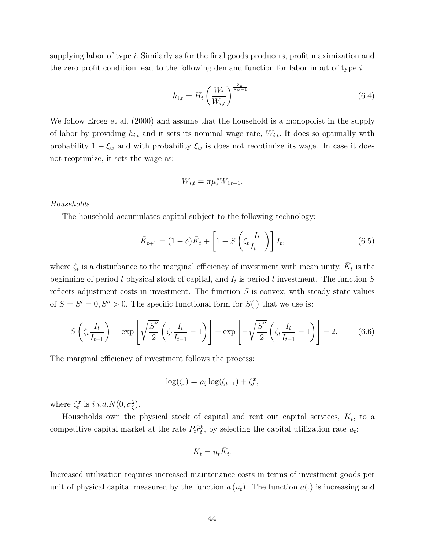supplying labor of type i. Similarly as for the final goods producers, profit maximization and the zero profit condition lead to the following demand function for labor input of type  $i$ :

$$
h_{i,t} = H_t \left(\frac{W_t}{W_{i,t}}\right)^{\frac{\lambda_w}{\lambda_w - 1}}.\tag{6.4}
$$

We follow Erceg et al. (2000) and assume that the household is a monopolist in the supply of labor by providing  $h_{i,t}$  and it sets its nominal wage rate,  $W_{i,t}$ . It does so optimally with probability  $1 - \xi_w$  and with probability  $\xi_w$  is does not reoptimize its wage. In case it does not reoptimize, it sets the wage as:

$$
W_{i,t} = \bar{\pi} \mu_{\epsilon}^* W_{i,t-1}.
$$

### Households

The household accumulates capital subject to the following technology:

$$
\bar{K}_{t+1} = (1 - \delta)\bar{K}_t + \left[1 - S\left(\zeta_t \frac{I_t}{I_{t-1}}\right)\right]I_t,
$$
\n(6.5)

where  $\zeta_t$  is a disturbance to the marginal efficiency of investment with mean unity,  $\bar{K}_t$  is the beginning of period t physical stock of capital, and  $I_t$  is period t investment. The function S reflects adjustment costs in investment. The function  $S$  is convex, with steady state values of  $S = S' = 0, S'' > 0$ . The specific functional form for  $S(.)$  that we use is:

$$
S\left(\zeta_t \frac{I_t}{I_{t-1}}\right) = \exp\left[\sqrt{\frac{S''}{2}} \left(\zeta_t \frac{I_t}{I_{t-1}} - 1\right)\right] + \exp\left[-\sqrt{\frac{S''}{2}} \left(\zeta_t \frac{I_t}{I_{t-1}} - 1\right)\right] - 2. \tag{6.6}
$$

The marginal efficiency of investment follows the process:

$$
\log(\zeta_t) = \rho_{\zeta} \log(\zeta_{t-1}) + \zeta_t^x,
$$

where  $\zeta_t^x$  is  $i.i.d. N(0, \sigma_{\zeta}^2)$ .

Households own the physical stock of capital and rent out capital services,  $K_t$ , to a competitive capital market at the rate  $P_t \tilde{r}_t^k$ , by selecting the capital utilization rate  $u_t$ :

$$
K_t = u_t \bar{K}_t.
$$

Increased utilization requires increased maintenance costs in terms of investment goods per unit of physical capital measured by the function  $a(u_t)$ . The function  $a(.)$  is increasing and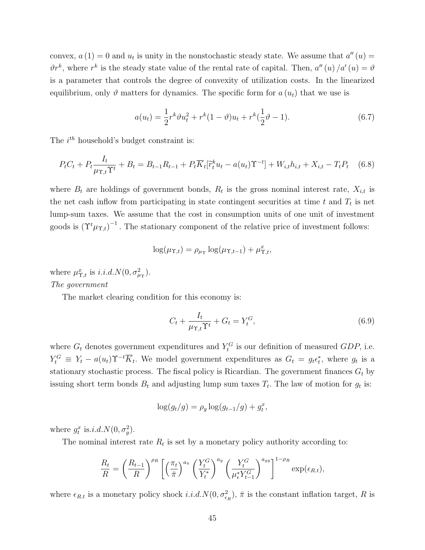convex,  $a(1) = 0$  and  $u_t$  is unity in the nonstochastic steady state. We assume that  $a''(u) =$  $\vartheta r^k$ , where  $r^k$  is the steady state value of the rental rate of capital. Then,  $a''(u)/a'(u) = \vartheta$ is a parameter that controls the degree of convexity of utilization costs. In the linearized equilibrium, only  $\vartheta$  matters for dynamics. The specific form for  $a(u_t)$  that we use is

$$
a(u_t) = \frac{1}{2}r^k \vartheta u_t^2 + r^k (1 - \vartheta) u_t + r^k (\frac{1}{2}\vartheta - 1).
$$
 (6.7)

The  $i^{th}$  household's budget constraint is:

$$
P_t C_t + P_t \frac{I_t}{\mu_{\Upsilon, t} \Upsilon^t} + B_t = B_{t-1} R_{t-1} + P_t \overline{K}_t [\widetilde{r}_t^k u_t - a(u_t) \Upsilon^{-t}] + W_{i, t} h_{i, t} + X_{i, t} - T_t P_t \tag{6.8}
$$

where  $B_t$  are holdings of government bonds,  $R_t$  is the gross nominal interest rate,  $X_{i,t}$  is the net cash inflow from participating in state contingent securities at time  $t$  and  $T_t$  is net lump-sum taxes. We assume that the cost in consumption units of one unit of investment goods is  $(\Upsilon^t \mu_{\Upsilon,t})^{-1}$ . The stationary component of the relative price of investment follows:

$$
\log(\mu_{\Upsilon,t}) = \rho_{\mu_{\Upsilon}} \log(\mu_{\Upsilon,t-1}) + \mu_{\Upsilon,t}^x,
$$

where  $\mu_{\Upsilon,t}^x$  is  $i.i.d.N(0, \sigma_{\mu_{\Upsilon}}^2)$ . The government

The market clearing condition for this economy is:

$$
C_t + \frac{I_t}{\mu_{\Upsilon, t} \Upsilon^t} + G_t = Y_t^G,\tag{6.9}
$$

where  $G_t$  denotes government expenditures and  $Y_t^G$  is our definition of measured GDP, i.e.  $Y_t^G \equiv Y_t - a(u_t) \Upsilon^{-t} \overline{K}_t$ . We model government expenditures as  $G_t = g_t \epsilon_t^*$ , where  $g_t$  is a stationary stochastic process. The fiscal policy is Ricardian. The government finances  $G_t$  by issuing short term bonds  $B_t$  and adjusting lump sum taxes  $T_t$ . The law of motion for  $g_t$  is:

$$
\log(g_t/g) = \rho_g \log(g_{t-1}/g) + g_t^x,
$$

where  $g_t^x$  is.*i.d.*  $N(0, \sigma_g^2)$ .

The nominal interest rate  $R_t$  is set by a monetary policy authority according to:

$$
\frac{R_t}{R} = \left(\frac{R_{t-1}}{R}\right)^{\rho_R} \left[ \left(\frac{\pi_t}{\bar{\pi}}\right)^{a_{\pi}} \left(\frac{Y_t^G}{Y_t^*}\right)^{a_y} \left(\frac{Y_t^G}{\mu_{\epsilon}^* Y_{t-1}^G}\right)^{a_{gy}} \right]^{1-\rho_R} \exp(\epsilon_{R,t}),
$$

where  $\epsilon_{R,t}$  is a monetary policy shock  $i.i.d. N(0, \sigma_{\epsilon_R}^2)$ ,  $\bar{\pi}$  is the constant inflation target, R is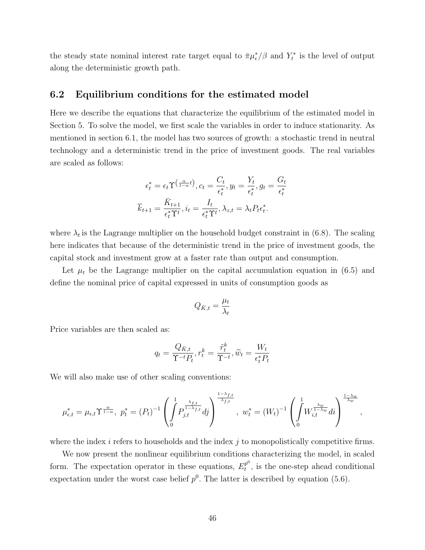the steady state nominal interest rate target equal to  $\bar{\pi} \mu_{\epsilon}^*/\beta$  and  $Y_t^*$  is the level of output along the deterministic growth path.

## 6.2 Equilibrium conditions for the estimated model

Here we describe the equations that characterize the equilibrium of the estimated model in Section 5. To solve the model, we first scale the variables in order to induce stationarity. As mentioned in section 6.1, the model has two sources of growth: a stochastic trend in neutral technology and a deterministic trend in the price of investment goods. The real variables are scaled as follows:

$$
\epsilon_t^* = \epsilon_t \Upsilon^{\left(\frac{\alpha}{1-\alpha}t\right)}, c_t = \frac{C_t}{\epsilon_t^*}, y_t = \frac{Y_t}{\epsilon_t^*}, g_t = \frac{G_t}{\epsilon_t^*}
$$

$$
\overline{k}_{t+1} = \frac{\overline{K}_{t+1}}{\epsilon_t^* \Upsilon^t}, i_t = \frac{I_t}{\epsilon_t^* \Upsilon^t}, \lambda_{z,t} = \lambda_t P_t \epsilon_t^*.
$$

where  $\lambda_t$  is the Lagrange multiplier on the household budget constraint in (6.8). The scaling here indicates that because of the deterministic trend in the price of investment goods, the capital stock and investment grow at a faster rate than output and consumption.

Let  $\mu_t$  be the Lagrange multiplier on the capital accumulation equation in (6.5) and define the nominal price of capital expressed in units of consumption goods as

$$
Q_{\bar K,t} = \frac{\mu_t}{\lambda_t}
$$

Price variables are then scaled as:

$$
q_t = \frac{Q_{\bar{K},t}}{\Upsilon^{-t}P_t}, r_t^k = \frac{\tilde{r}_t^k}{\Upsilon^{-t}}, \tilde{w}_t = \frac{W_t}{\epsilon_t^*P_t}
$$

We will also make use of other scaling conventions:

$$
\mu_{\epsilon,t}^* = \mu_{\epsilon,t} \Upsilon^{\frac{\alpha}{1-\alpha}}, \ p_t^* = (P_t)^{-1} \left( \int_0^1 P_{j,t}^{\frac{\lambda_{f,t}}{1-\lambda_{f,t}}} dj \right)^{\frac{1-\lambda_{f,t}}{\lambda_{f,t}}}, \ w_t^* = (W_t)^{-1} \left( \int_0^1 W_{i,t}^{\frac{\lambda_w}{1-\lambda_w}} di \right)^{\frac{1-\lambda_w}{\lambda_w}},
$$

where the index  $i$  refers to households and the index  $j$  to monopolistically competitive firms.

We now present the nonlinear equilibrium conditions characterizing the model, in scaled form. The expectation operator in these equations,  $E_t^{p^0}$  $t^{p^{\circ}}$ , is the one-step ahead conditional expectation under the worst case belief  $p^0$ . The latter is described by equation (5.6).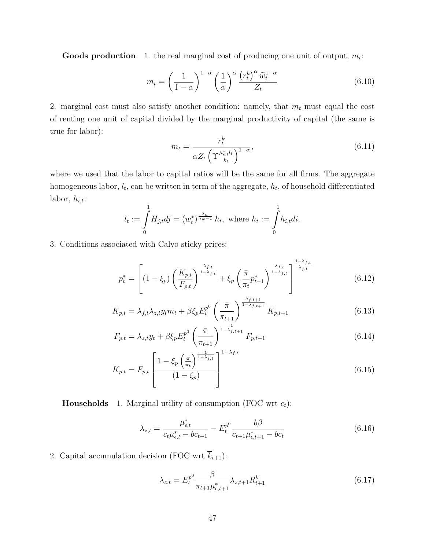**Goods production** 1. the real marginal cost of producing one unit of output,  $m_t$ :

$$
m_t = \left(\frac{1}{1-\alpha}\right)^{1-\alpha} \left(\frac{1}{\alpha}\right)^{\alpha} \frac{\left(r_t^k\right)^{\alpha} \tilde{w}_t^{1-\alpha}}{Z_t}
$$
(6.10)

2. marginal cost must also satisfy another condition: namely, that  $m_t$  must equal the cost of renting one unit of capital divided by the marginal productivity of capital (the same is true for labor):

$$
m_t = \frac{r_t^k}{\alpha Z_t \left(\Upsilon \frac{\mu_{\epsilon,t}^* l_t}{k_t}\right)^{1-\alpha}},\tag{6.11}
$$

where we used that the labor to capital ratios will be the same for all firms. The aggregate homogeneous labor,  $l_t$ , can be written in term of the aggregate,  $h_t$ , of household differentiated labor,  $h_{i,t}$ :

$$
l_t := \int_0^1 H_{j,t} dj = (w_t^*)^{\frac{\lambda_w}{\lambda_w - 1}} h_t
$$
, where  $h_t := \int_0^1 h_{i,t} di$ .

3. Conditions associated with Calvo sticky prices:

$$
p_t^* = \left[ (1 - \xi_p) \left( \frac{K_{p,t}}{F_{p,t}} \right)^{\frac{\lambda_{f,t}}{1 - \lambda_{f,t}}} + \xi_p \left( \frac{\bar{\pi}}{\pi_t} p_{t-1}^* \right)^{\frac{\lambda_{f,t}}{1 - \lambda_{f,t}}} \right]^{\frac{1 - \lambda_{f,t}}{\lambda_{f,t}}} \tag{6.12}
$$

$$
K_{p,t} = \lambda_{f,t} \lambda_{z,t} y_t m_t + \beta \xi_p E_t^{p^0} \left( \frac{\bar{\pi}}{\pi_{t+1}} \right)^{\frac{\lambda_{f,t+1}}{1 - \lambda_{f,t+1}}} K_{p,t+1}
$$
(6.13)

$$
F_{p,t} = \lambda_{z,t} y_t + \beta \xi_p E_t^{p^0} \left(\frac{\bar{\pi}}{\pi_{t+1}}\right)^{\frac{1}{1-\lambda_{f,t+1}}} F_{p,t+1}
$$
(6.14)

$$
K_{p,t} = F_{p,t} \left[ \frac{1 - \xi_p \left( \frac{\bar{\pi}}{\pi_t} \right)^{\frac{1}{1 - \lambda_{f,t}}}}{(1 - \xi_p)} \right]^{1 - \lambda_{f,t}} \tag{6.15}
$$

**Households** 1. Marginal utility of consumption (FOC wrt  $c_t$ ):

$$
\lambda_{z,t} = \frac{\mu_{\epsilon,t}^*}{c_t \mu_{\epsilon,t}^* - bc_{t-1}} - E_t^{p^0} \frac{b\beta}{c_{t+1}\mu_{\epsilon,t+1}^* - bc_t} \tag{6.16}
$$

2. Capital accumulation decision (FOC wrt  $\overline{k}_{t+1}$ ):

$$
\lambda_{z,t} = E_t^{p^0} \frac{\beta}{\pi_{t+1} \mu_{\epsilon,t+1}^*} \lambda_{z,t+1} R_{t+1}^k \tag{6.17}
$$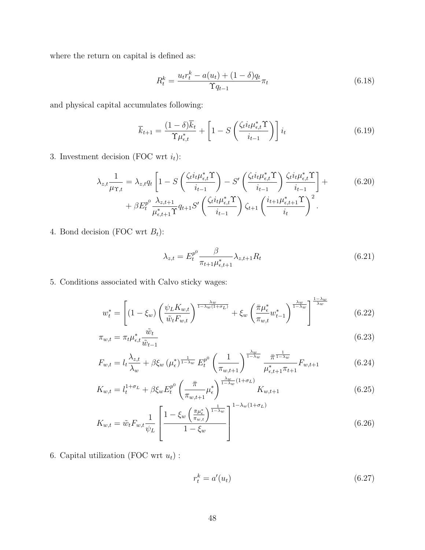where the return on capital is defined as:

$$
R_t^k = \frac{u_t r_t^k - a(u_t) + (1 - \delta) q_t}{\Upsilon q_{t-1}} \pi_t
$$
\n(6.18)

and physical capital accumulates following:

$$
\overline{k}_{t+1} = \frac{(1-\delta)\overline{k}_t}{\Upsilon\mu_{\epsilon,t}^*} + \left[1 - S\left(\frac{\zeta_t i_t \mu_{\epsilon,t}^* \Upsilon}{i_{t-1}}\right)\right] i_t
$$
\n(6.19)

3. Investment decision (FOC wrt  $i_t$ ):

$$
\lambda_{z,t} \frac{1}{\mu_{\Upsilon,t}} = \lambda_{z,t} q_t \left[ 1 - S \left( \frac{\zeta_t i_t \mu_{\epsilon,t}^* \Upsilon}{i_{t-1}} \right) - S' \left( \frac{\zeta_t i_t \mu_{\epsilon,t}^* \Upsilon}{i_{t-1}} \right) \frac{\zeta_t i_t \mu_{\epsilon,t}^* \Upsilon}{i_{t-1}} \right] +
$$
\n
$$
+ \beta E_t^{p^0} \frac{\lambda_{z,t+1}}{\mu_{\epsilon,t+1}^* \Upsilon} q_{t+1} S' \left( \frac{\zeta_t i_t \mu_{\epsilon,t}^* \Upsilon}{i_{t-1}} \right) \zeta_{t+1} \left( \frac{i_{t+1} \mu_{\epsilon,t+1}^* \Upsilon}{i_t} \right)^2.
$$
\n(6.20)

4. Bond decision (FOC wrt  $B_t$ ):

$$
\lambda_{z,t} = E_t^{p^0} \frac{\beta}{\pi_{t+1} \mu_{\epsilon,t+1}^*} \lambda_{z,t+1} R_t \tag{6.21}
$$

5. Conditions associated with Calvo sticky wages:

$$
w_t^* = \left[ (1 - \xi_w) \left( \frac{\psi_L K_{w,t}}{\tilde{w}_t F_{w,t}} \right)^{\frac{\lambda_w}{1 - \lambda_w (1 + \sigma_L)}} + \xi_w \left( \frac{\bar{\pi} \mu_{\epsilon}^*}{\pi_{w,t}} w_{t-1}^* \right)^{\frac{\lambda_w}{1 - \lambda_w}} \right]^{\frac{1 - \lambda_w}{\lambda_w}}
$$
(6.22)

$$
\pi_{w,t} = \pi_t \mu_{\epsilon,t}^* \frac{\tilde{w}_t}{\tilde{w}_{t-1}}
$$
\n(6.23)

$$
F_{w,t} = l_t \frac{\lambda_{z,t}}{\lambda_w} + \beta \xi_w \left(\mu_{\epsilon}^*\right)^{\frac{1}{1-\lambda_w}} E_t^{p^0} \left(\frac{1}{\pi_{w,t+1}}\right)^{\frac{\lambda_w}{1-\lambda_w}} \frac{\bar{\pi}^{\frac{1}{1-\lambda_w}}}{\mu_{\epsilon,t+1}^* \pi_{t+1}} F_{w,t+1}
$$
(6.24)

$$
K_{w,t} = l_t^{1+\sigma_L} + \beta \xi_w E_t^{p^0} \left(\frac{\bar{\pi}}{\pi_{w,t+1}} \mu_{\epsilon}^*\right)^{\frac{\lambda_w}{1-\lambda_w}(1+\sigma_L)} K_{w,t+1}
$$
(6.25)

$$
K_{w,t} = \tilde{w}_t F_{w,t} \frac{1}{\psi_L} \left[ \frac{1 - \xi_w \left( \frac{\bar{\pi} \mu_{\epsilon}^*}{\pi_{w,t}} \right)^{\frac{1}{1 - \lambda_w}}}{1 - \xi_w} \right]^{1 - \lambda_w (1 + \sigma_L)} \tag{6.26}
$$

6. Capital utilization (FOC wrt $\boldsymbol{u}_t)$  :

$$
r_t^k = a'(u_t) \tag{6.27}
$$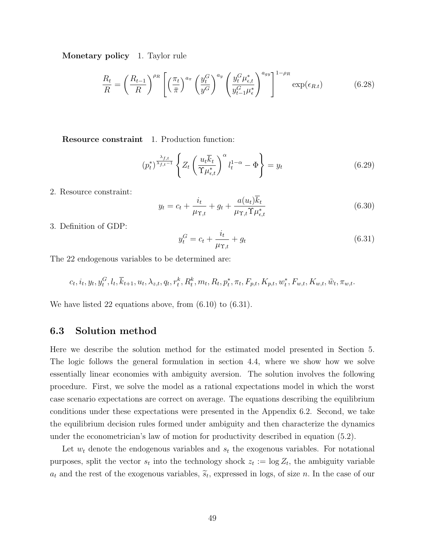Monetary policy 1. Taylor rule

$$
\frac{R_t}{R} = \left(\frac{R_{t-1}}{R}\right)^{\rho_R} \left[ \left(\frac{\pi_t}{\bar{\pi}}\right)^{a_{\pi}} \left(\frac{y_t^G}{y^G}\right)^{a_y} \left(\frac{y_t^G \mu_{\epsilon,t}^*}{y_{t-1}^G \mu_{\epsilon}^*}\right)^{a_{gy}} \right]^{1-\rho_R} \exp(\epsilon_{R,t}) \tag{6.28}
$$

Resource constraint 1. Production function:

$$
(p_t^*)^{\frac{\lambda_{f,t}}{\lambda_{f,t}-1}} \left\{ Z_t \left( \frac{u_t \overline{k}_t}{\Upsilon \mu_{\epsilon,t}^*} \right)^{\alpha} l_t^{1-\alpha} - \Phi \right\} = y_t \tag{6.29}
$$

2. Resource constraint:

$$
y_t = c_t + \frac{i_t}{\mu_{\Upsilon, t}} + g_t + \frac{a(u_t)\overline{k}_t}{\mu_{\Upsilon, t}\Upsilon \mu_{\epsilon, t}^*}
$$
(6.30)

3. Definition of GDP:

$$
y_t^G = c_t + \frac{i_t}{\mu_{\Upsilon,t}} + g_t \tag{6.31}
$$

The 22 endogenous variables to be determined are:

$$
c_{t}, i_{t}, y_{t}, y_{t}^{G}, l_{t}, \overline{k}_{t+1}, u_{t}, \lambda_{z,t}, q_{t}, r_{t}^{k}, R_{t}^{k}, m_{t}, R_{t}, p_{t}^{*}, \pi_{t}, F_{p,t}, K_{p,t}, w_{t}^{*}, F_{w,t}, K_{w,t}, \tilde{w}_{t}, \pi_{w,t}.
$$

We have listed 22 equations above, from  $(6.10)$  to  $(6.31)$ .

### 6.3 Solution method

Here we describe the solution method for the estimated model presented in Section 5. The logic follows the general formulation in section 4.4, where we show how we solve essentially linear economies with ambiguity aversion. The solution involves the following procedure. First, we solve the model as a rational expectations model in which the worst case scenario expectations are correct on average. The equations describing the equilibrium conditions under these expectations were presented in the Appendix 6.2. Second, we take the equilibrium decision rules formed under ambiguity and then characterize the dynamics under the econometrician's law of motion for productivity described in equation (5.2).

Let  $w_t$  denote the endogenous variables and  $s_t$  the exogenous variables. For notational purposes, split the vector  $s_t$  into the technology shock  $z_t := \log Z_t$ , the ambiguity variable  $a_t$  and the rest of the exogenous variables,  $\tilde{s}_t$ , expressed in logs, of size *n*. In the case of our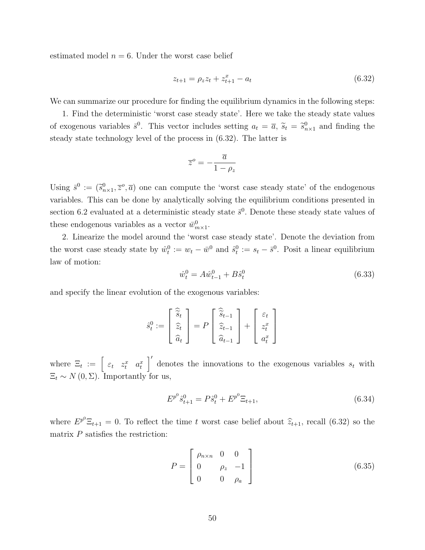estimated model  $n = 6$ . Under the worst case belief

$$
z_{t+1} = \rho_z z_t + z_{t+1}^x - a_t \tag{6.32}
$$

We can summarize our procedure for finding the equilibrium dynamics in the following steps:

1. Find the deterministic 'worst case steady state'. Here we take the steady state values of exogenous variables  $\bar{s}^0$ . This vector includes setting  $a_t = \bar{a}$ ,  $\tilde{s}_t = \tilde{s}_{n \times 1}^0$  and finding the steady state technology level of the process in (6.32). The latter is

$$
\overline{z}^o = -\frac{\overline{a}}{1 - \rho_z}
$$

Using  $\bar{s}^0 := (\bar{s}_{n \times 1}^0, \bar{z}^0, \bar{a})$  one can compute the 'worst case steady state' of the endogenous variables. This can be done by analytically solving the equilibrium conditions presented in section 6.2 evaluated at a deterministic steady state  $\bar{s}^0$ . Denote these steady state values of these endogenous variables as a vector  $\bar{w}^0_{m \times 1}$ .

2. Linearize the model around the 'worst case steady state'. Denote the deviation from the worst case steady state by  $\hat{w}_t^0 := w_t - \bar{w}^0$  and  $\hat{s}_t^0 := s_t - \bar{s}^0$ . Posit a linear equilibrium law of motion:

$$
\hat{w}_t^0 = A\hat{w}_{t-1}^0 + B\hat{s}_t^0 \tag{6.33}
$$

and specify the linear evolution of the exogenous variables:

$$
\hat{s}_t^0 := \begin{bmatrix} \hat{\tilde{s}}_t \\ \hat{z}_t \\ \hat{a}_t \end{bmatrix} = P \begin{bmatrix} \hat{\tilde{s}}_{t-1} \\ \hat{z}_{t-1} \\ \hat{a}_{t-1} \end{bmatrix} + \begin{bmatrix} \varepsilon_t \\ z_t^x \\ a_t^x \end{bmatrix}
$$

where  $\Xi_t := \begin{bmatrix} \varepsilon_t & z_t^x & a_t^x \end{bmatrix}$  denotes the innovations to the exogenous variables  $s_t$  with  $\Xi_t \sim N(0, \Sigma)$ . Importantly for us,

$$
E^{p^0}\hat{s}^0_{t+1} = P\hat{s}^0_t + E^{p^0}\Xi_{t+1},\tag{6.34}
$$

where  $E^{p^0} \Xi_{t+1} = 0$ . To reflect the time t worst case belief about  $\hat{z}_{t+1}$ , recall (6.32) so the matrix P satisfies the restriction:

$$
P = \begin{bmatrix} \rho_{n \times n} & 0 & 0 \\ 0 & \rho_z & -1 \\ 0 & 0 & \rho_a \end{bmatrix}
$$
 (6.35)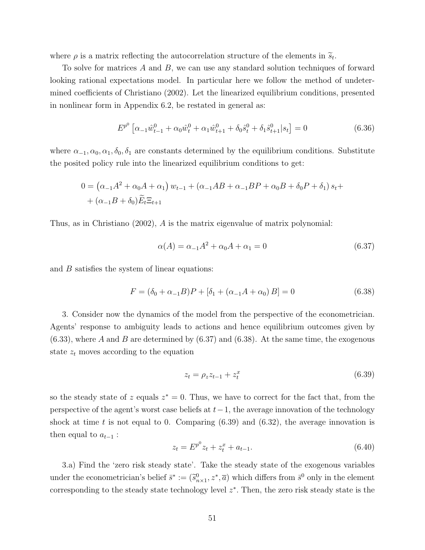where  $\rho$  is a matrix reflecting the autocorrelation structure of the elements in  $\tilde{s}_t$ .

To solve for matrices A and B, we can use any standard solution techniques of forward looking rational expectations model. In particular here we follow the method of undetermined coefficients of Christiano (2002). Let the linearized equilibrium conditions, presented in nonlinear form in Appendix 6.2, be restated in general as:

$$
E^{p^{0}}\left[\alpha_{-1}\hat{w}_{t-1}^{0} + \alpha_{0}\hat{w}_{t}^{0} + \alpha_{1}\hat{w}_{t+1}^{0} + \delta_{0}\hat{s}_{t}^{0} + \delta_{1}\hat{s}_{t+1}^{0}|s_{t}\right] = 0
$$
\n(6.36)

where  $\alpha_{-1}, \alpha_0, \alpha_1, \delta_0, \delta_1$  are constants determined by the equilibrium conditions. Substitute the posited policy rule into the linearized equilibrium conditions to get:

$$
0 = (\alpha_{-1}A^2 + \alpha_0A + \alpha_1) w_{t-1} + (\alpha_{-1}AB + \alpha_{-1}BP + \alpha_0B + \delta_0P + \delta_1) s_t + (\alpha_{-1}B + \delta_0)\widetilde{E}_t \Xi_{t+1}
$$

Thus, as in Christiano (2002), A is the matrix eigenvalue of matrix polynomial:

$$
\alpha(A) = \alpha_{-1}A^2 + \alpha_0 A + \alpha_1 = 0 \tag{6.37}
$$

and B satisfies the system of linear equations:

$$
F = (\delta_0 + \alpha_{-1}B)P + [\delta_1 + (\alpha_{-1}A + \alpha_0)B] = 0
$$
\n(6.38)

3. Consider now the dynamics of the model from the perspective of the econometrician. Agents' response to ambiguity leads to actions and hence equilibrium outcomes given by  $(6.33)$ , where A and B are determined by  $(6.37)$  and  $(6.38)$ . At the same time, the exogenous state  $z_t$  moves according to the equation

$$
z_t = \rho_z z_{t-1} + z_t^x \tag{6.39}
$$

so the steady state of z equals  $z^* = 0$ . Thus, we have to correct for the fact that, from the perspective of the agent's worst case beliefs at  $t-1$ , the average innovation of the technology shock at time t is not equal to 0. Comparing  $(6.39)$  and  $(6.32)$ , the average innovation is then equal to  $a_{t-1}$ :

$$
z_t = E^{p^0} z_t + z_t^x + a_{t-1}.
$$
\n(6.40)

3.a) Find the 'zero risk steady state'. Take the steady state of the exogenous variables under the econometrician's belief  $\bar{s}^* := (\bar{s}_{n \times 1}^0, z^*, \bar{a})$  which differs from  $\bar{s}^0$  only in the element corresponding to the steady state technology level  $z^*$ . Then, the zero risk steady state is the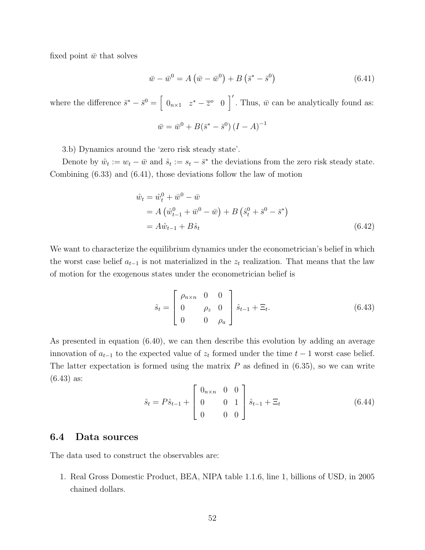fixed point  $\bar{w}$  that solves

$$
\bar{w} - \bar{w}^0 = A\left(\bar{w} - \bar{w}^0\right) + B\left(\bar{s}^* - \bar{s}^0\right) \tag{6.41}
$$

where the difference  $\bar{s}^* - \bar{s}^0 = \begin{bmatrix} 0_{n \times 1} & z^* - \bar{z}^0 & 0 \end{bmatrix}$ . Thus,  $\bar{w}$  can be analytically found as:

$$
\bar{w} = \bar{w}^0 + B(\bar{s}^* - \bar{s}^0) (I - A)^{-1}
$$

3.b) Dynamics around the 'zero risk steady state'.

Denote by  $\hat{w}_t := w_t - \bar{w}$  and  $\hat{s}_t := s_t - \bar{s}^*$  the deviations from the zero risk steady state. Combining (6.33) and (6.41), those deviations follow the law of motion

$$
\hat{w}_t = \hat{w}_t^0 + \bar{w}^0 - \bar{w}
$$
\n
$$
= A \left( \hat{w}_{t-1}^0 + \bar{w}^0 - \bar{w} \right) + B \left( \hat{s}_t^0 + \bar{s}^0 - \bar{s}^* \right)
$$
\n
$$
= A \hat{w}_{t-1} + B \hat{s}_t \tag{6.42}
$$

We want to characterize the equilibrium dynamics under the econometrician's belief in which the worst case belief  $a_{t-1}$  is not materialized in the  $z_t$  realization. That means that the law of motion for the exogenous states under the econometrician belief is

$$
\hat{s}_t = \begin{bmatrix} \rho_{n \times n} & 0 & 0 \\ 0 & \rho_z & 0 \\ 0 & 0 & \rho_a \end{bmatrix} \hat{s}_{t-1} + \Xi_t.
$$
 (6.43)

As presented in equation (6.40), we can then describe this evolution by adding an average innovation of  $a_{t-1}$  to the expected value of  $z_t$  formed under the time  $t-1$  worst case belief. The latter expectation is formed using the matrix  $P$  as defined in  $(6.35)$ , so we can write (6.43) as:

$$
\hat{s}_t = P\hat{s}_{t-1} + \begin{bmatrix} 0_{n \times n} & 0 & 0 \\ 0 & 0 & 1 \\ 0 & 0 & 0 \end{bmatrix} \hat{s}_{t-1} + \Xi_t \tag{6.44}
$$

### 6.4 Data sources

The data used to construct the observables are:

1. Real Gross Domestic Product, BEA, NIPA table 1.1.6, line 1, billions of USD, in 2005 chained dollars.